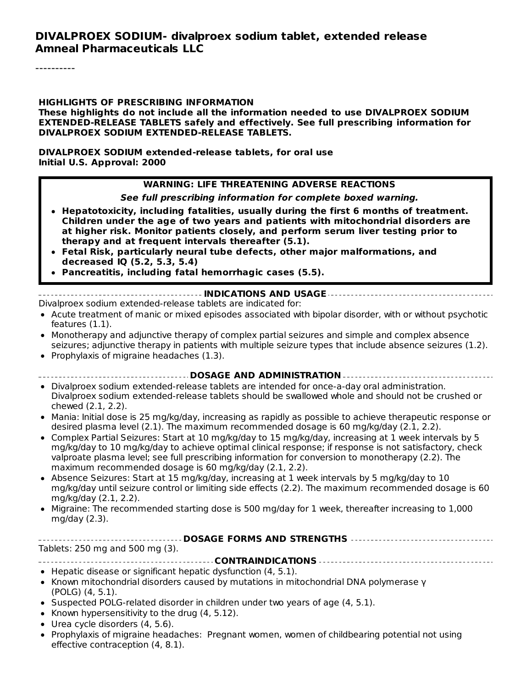----------

#### **HIGHLIGHTS OF PRESCRIBING INFORMATION**

**These highlights do not include all the information needed to use DIVALPROEX SODIUM EXTENDED-RELEASE TABLETS safely and effectively. See full prescribing information for DIVALPROEX SODIUM EXTENDED-RELEASE TABLETS.**

**DIVALPROEX SODIUM extended-release tablets, for oral use Initial U.S. Approval: 2000**

#### **WARNING: LIFE THREATENING ADVERSE REACTIONS**

**See full prescribing information for complete boxed warning.**

- **Hepatotoxicity, including fatalities, usually during the first 6 months of treatment. Children under the age of two years and patients with mitochondrial disorders are at higher risk. Monitor patients closely, and perform serum liver testing prior to therapy and at frequent intervals thereafter (5.1).**
- **Fetal Risk, particularly neural tube defects, other major malformations, and decreased IQ (5.2, 5.3, 5.4)**
- **Pancreatitis, including fatal hemorrhagic cases (5.5).**

#### **INDICATIONS AND USAGE**

Divalproex sodium extended-release tablets are indicated for:

- Acute treatment of manic or mixed episodes associated with bipolar disorder, with or without psychotic features (1.1).
- Monotherapy and adjunctive therapy of complex partial seizures and simple and complex absence seizures; adjunctive therapy in patients with multiple seizure types that include absence seizures (1.2).
- Prophylaxis of migraine headaches  $(1.3)$ .

#### **DOSAGE AND ADMINISTRATION**

- Divalproex sodium extended-release tablets are intended for once-a-day oral administration. Divalproex sodium extended-release tablets should be swallowed whole and should not be crushed or chewed (2.1, 2.2).
- Mania: Initial dose is 25 mg/kg/day, increasing as rapidly as possible to achieve therapeutic response or desired plasma level (2.1). The maximum recommended dosage is 60 mg/kg/day (2.1, 2.2).
- Complex Partial Seizures: Start at 10 mg/kg/day to 15 mg/kg/day, increasing at 1 week intervals by 5 mg/kg/day to 10 mg/kg/day to achieve optimal clinical response; if response is not satisfactory, check valproate plasma level; see full prescribing information for conversion to monotherapy (2.2). The maximum recommended dosage is 60 mg/kg/day (2.1, 2.2).
- Absence Seizures: Start at 15 mg/kg/day, increasing at 1 week intervals by 5 mg/kg/day to 10 mg/kg/day until seizure control or limiting side effects (2.2). The maximum recommended dosage is 60 mg/kg/day (2.1, 2.2).
- Migraine: The recommended starting dose is 500 mg/day for 1 week, thereafter increasing to 1,000 mg/day (2.3).

#### **DOSAGE FORMS AND STRENGTHS** Tablets: 250 mg and 500 mg (3). **CONTRAINDICATIONS**

- Hepatic disease or significant hepatic dysfunction (4, 5.1).
- Known mitochondrial disorders caused by mutations in mitochondrial DNA polymerase γ (POLG) (4, 5.1).
- $\bullet$  Suspected POLG-related disorder in children under two years of age (4, 5.1).
- Known hypersensitivity to the drug  $(4, 5.12)$ .
- Urea cycle disorders (4, 5.6).
- Prophylaxis of migraine headaches: Pregnant women, women of childbearing potential not using effective contraception (4, 8.1).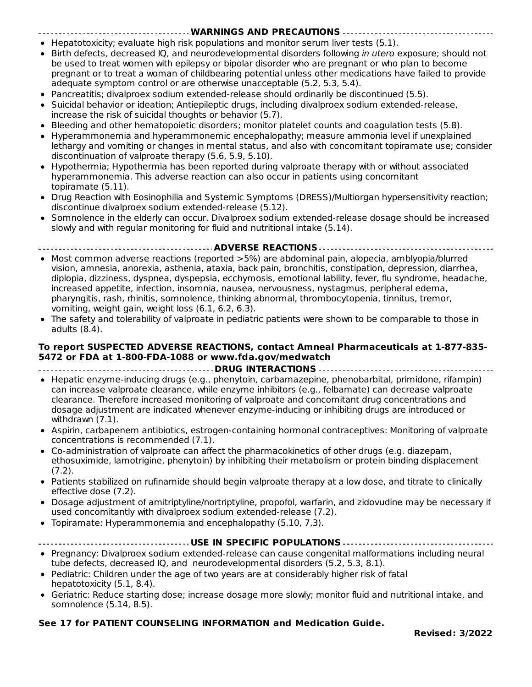- **WARNINGS AND PRECAUTIONS**
- Hepatotoxicity; evaluate high risk populations and monitor serum liver tests (5.1).  $\bullet$
- Birth defects, decreased IQ, and neurodevelopmental disorders following in utero exposure; should not be used to treat women with epilepsy or bipolar disorder who are pregnant or who plan to become pregnant or to treat a woman of childbearing potential unless other medications have failed to provide adequate symptom control or are otherwise unacceptable (5.2, 5.3, 5.4).
- Pancreatitis; divalproex sodium extended-release should ordinarily be discontinued (5.5).
- Suicidal behavior or ideation; Antiepileptic drugs, including divalproex sodium extended-release, increase the risk of suicidal thoughts or behavior (5.7).
- Bleeding and other hematopoietic disorders; monitor platelet counts and coagulation tests (5.8).  $\bullet$
- Hyperammonemia and hyperammonemic encephalopathy; measure ammonia level if unexplained lethargy and vomiting or changes in mental status, and also with concomitant topiramate use; consider discontinuation of valproate therapy (5.6, 5.9, 5.10).
- Hypothermia; Hypothermia has been reported during valproate therapy with or without associated hyperammonemia. This adverse reaction can also occur in patients using concomitant topiramate (5.11).
- Drug Reaction with Eosinophilia and Systemic Symptoms (DRESS)/Multiorgan hypersensitivity reaction;  $\bullet$ discontinue divalproex sodium extended-release (5.12).
- $\bullet$ Somnolence in the elderly can occur. Divalproex sodium extended-release dosage should be increased slowly and with regular monitoring for fluid and nutritional intake (5.14).
- **ADVERSE REACTIONS**
- Most common adverse reactions (reported >5%) are abdominal pain, alopecia, amblyopia/blurred vision, amnesia, anorexia, asthenia, ataxia, back pain, bronchitis, constipation, depression, diarrhea, diplopia, dizziness, dyspnea, dyspepsia, ecchymosis, emotional lability, fever, flu syndrome, headache, increased appetite, infection, insomnia, nausea, nervousness, nystagmus, peripheral edema, pharyngitis, rash, rhinitis, somnolence, thinking abnormal, thrombocytopenia, tinnitus, tremor, vomiting, weight gain, weight loss (6.1, 6.2, 6.3).
- The safety and tolerability of valproate in pediatric patients were shown to be comparable to those in adults (8.4).

#### **To report SUSPECTED ADVERSE REACTIONS, contact Amneal Pharmaceuticals at 1-877-835- 5472 or FDA at 1-800-FDA-1088 or www.fda.gov/medwatch**

#### **DRUG INTERACTIONS**

- Hepatic enzyme-inducing drugs (e.g., phenytoin, carbamazepine, phenobarbital, primidone, rifampin) can increase valproate clearance, while enzyme inhibitors (e.g., felbamate) can decrease valproate clearance. Therefore increased monitoring of valproate and concomitant drug concentrations and dosage adjustment are indicated whenever enzyme-inducing or inhibiting drugs are introduced or withdrawn (7.1).
- Aspirin, carbapenem antibiotics, estrogen-containing hormonal contraceptives: Monitoring of valproate concentrations is recommended (7.1).
- Co-administration of valproate can affect the pharmacokinetics of other drugs (e.g. diazepam, ethosuximide, lamotrigine, phenytoin) by inhibiting their metabolism or protein binding displacement (7.2).
- Patients stabilized on rufinamide should begin valproate therapy at a low dose, and titrate to clinically effective dose (7.2).
- Dosage adjustment of amitriptyline/nortriptyline, propofol, warfarin, and zidovudine may be necessary if used concomitantly with divalproex sodium extended-release (7.2).
- Topiramate: Hyperammonemia and encephalopathy (5.10, 7.3).

- Pregnancy: Divalproex sodium extended-release can cause congenital malformations including neural tube defects, decreased IQ, and neurodevelopmental disorders (5.2, 5.3, 8.1).
- Pediatric: Children under the age of two years are at considerably higher risk of fatal hepatotoxicity (5.1, 8.4).
- Geriatric: Reduce starting dose; increase dosage more slowly; monitor fluid and nutritional intake, and  $\bullet$ somnolence (5.14, 8.5).

#### **See 17 for PATIENT COUNSELING INFORMATION and Medication Guide.**

**USE IN SPECIFIC POPULATIONS**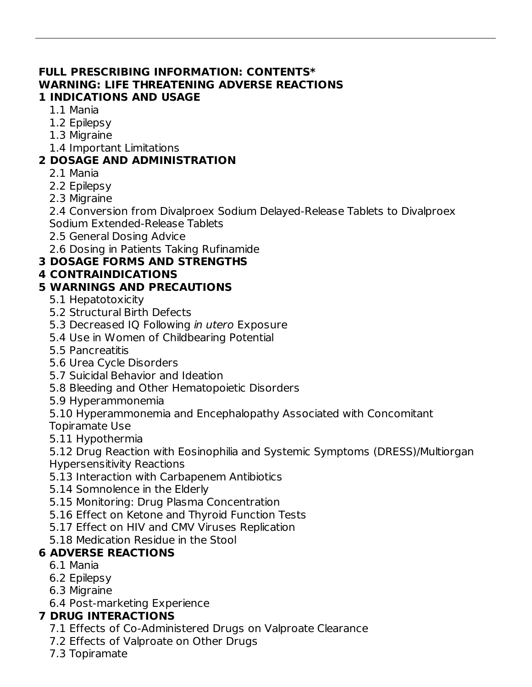### **FULL PRESCRIBING INFORMATION: CONTENTS\* WARNING: LIFE THREATENING ADVERSE REACTIONS 1 INDICATIONS AND USAGE**

- 1.1 Mania
- 1.2 Epilepsy
- 1.3 Migraine
- 1.4 Important Limitations

### **2 DOSAGE AND ADMINISTRATION**

- 2.1 Mania
- 2.2 Epilepsy
- 2.3 Migraine

2.4 Conversion from Divalproex Sodium Delayed-Release Tablets to Divalproex Sodium Extended-Release Tablets

2.5 General Dosing Advice

2.6 Dosing in Patients Taking Rufinamide

## **3 DOSAGE FORMS AND STRENGTHS**

### **4 CONTRAINDICATIONS**

## **5 WARNINGS AND PRECAUTIONS**

- 5.1 Hepatotoxicity
- 5.2 Structural Birth Defects
- 5.3 Decreased IQ Following in utero Exposure
- 5.4 Use in Women of Childbearing Potential
- 5.5 Pancreatitis
- 5.6 Urea Cycle Disorders
- 5.7 Suicidal Behavior and Ideation
- 5.8 Bleeding and Other Hematopoietic Disorders
- 5.9 Hyperammonemia

5.10 Hyperammonemia and Encephalopathy Associated with Concomitant

- Topiramate Use
- 5.11 Hypothermia

5.12 Drug Reaction with Eosinophilia and Systemic Symptoms (DRESS)/Multiorgan Hypersensitivity Reactions

- 5.13 Interaction with Carbapenem Antibiotics
- 5.14 Somnolence in the Elderly
- 5.15 Monitoring: Drug Plasma Concentration
- 5.16 Effect on Ketone and Thyroid Function Tests
- 5.17 Effect on HIV and CMV Viruses Replication
- 5.18 Medication Residue in the Stool

### **6 ADVERSE REACTIONS**

- 6.1 Mania
- 6.2 Epilepsy
- 6.3 Migraine
- 6.4 Post-marketing Experience

### **7 DRUG INTERACTIONS**

- 7.1 Effects of Co-Administered Drugs on Valproate Clearance
- 7.2 Effects of Valproate on Other Drugs
- 7.3 Topiramate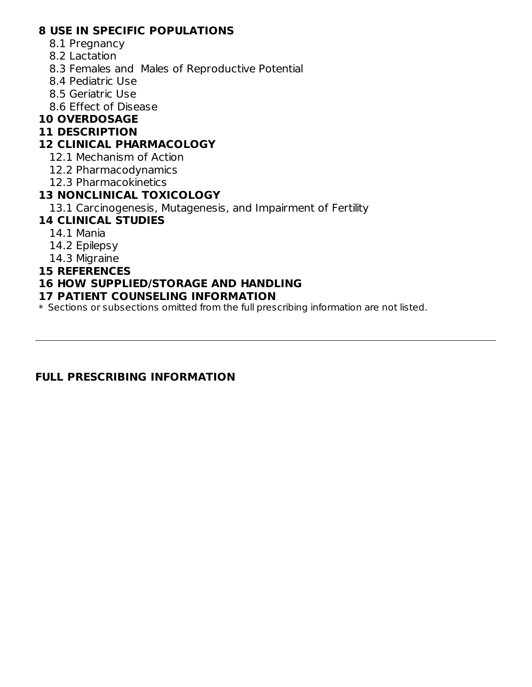### **8 USE IN SPECIFIC POPULATIONS**

- 8.1 Pregnancy
- 8.2 Lactation
- 8.3 Females and Males of Reproductive Potential
- 8.4 Pediatric Use
- 8.5 Geriatric Use
- 8.6 Effect of Disease

## **10 OVERDOSAGE**

### **11 DESCRIPTION**

### **12 CLINICAL PHARMACOLOGY**

- 12.1 Mechanism of Action
- 12.2 Pharmacodynamics
- 12.3 Pharmacokinetics

### **13 NONCLINICAL TOXICOLOGY**

13.1 Carcinogenesis, Mutagenesis, and Impairment of Fertility

### **14 CLINICAL STUDIES**

- 14.1 Mania
- 14.2 Epilepsy
- 14.3 Migraine

#### **15 REFERENCES**

### **16 HOW SUPPLIED/STORAGE AND HANDLING**

#### **17 PATIENT COUNSELING INFORMATION**

\* Sections or subsections omitted from the full prescribing information are not listed.

### **FULL PRESCRIBING INFORMATION**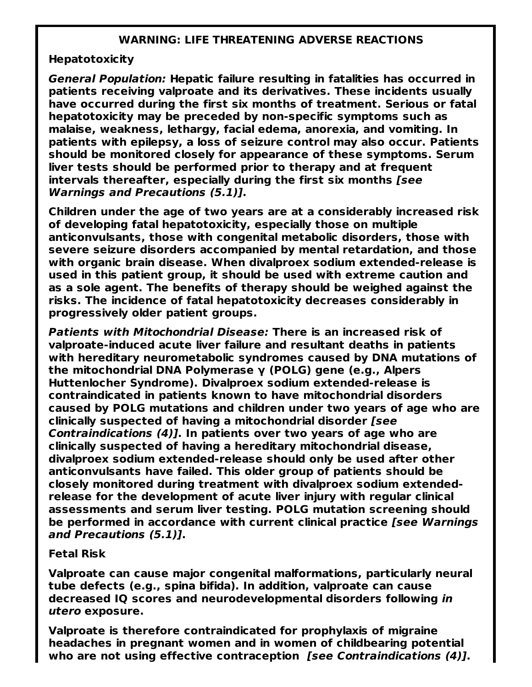#### **WARNING: LIFE THREATENING ADVERSE REACTIONS**

#### **Hepatotoxicity**

**General Population: Hepatic failure resulting in fatalities has occurred in patients receiving valproate and its derivatives. These incidents usually have occurred during the first six months of treatment. Serious or fatal hepatotoxicity may be preceded by non-specific symptoms such as malaise, weakness, lethargy, facial edema, anorexia, and vomiting. In patients with epilepsy, a loss of seizure control may also occur. Patients should be monitored closely for appearance of these symptoms. Serum liver tests should be performed prior to therapy and at frequent intervals thereafter, especially during the first six months [see Warnings and Precautions (5.1)].**

**Children under the age of two years are at a considerably increased risk of developing fatal hepatotoxicity, especially those on multiple anticonvulsants, those with congenital metabolic disorders, those with severe seizure disorders accompanied by mental retardation, and those with organic brain disease. When divalproex sodium extended-release is used in this patient group, it should be used with extreme caution and as a sole agent. The benefits of therapy should be weighed against the risks. The incidence of fatal hepatotoxicity decreases considerably in progressively older patient groups.**

**Patients with Mitochondrial Disease: There is an increased risk of valproate-induced acute liver failure and resultant deaths in patients with hereditary neurometabolic syndromes caused by DNA mutations of the mitochondrial DNA Polymerase γ (POLG) gene (e.g., Alpers Huttenlocher Syndrome). Divalproex sodium extended-release is contraindicated in patients known to have mitochondrial disorders caused by POLG mutations and children under two years of age who are clinically suspected of having a mitochondrial disorder [see Contraindications (4)]. In patients over two years of age who are clinically suspected of having a hereditary mitochondrial disease, divalproex sodium extended-release should only be used after other anticonvulsants have failed. This older group of patients should be closely monitored during treatment with divalproex sodium extendedrelease for the development of acute liver injury with regular clinical assessments and serum liver testing. POLG mutation screening should be performed in accordance with current clinical practice [see Warnings and Precautions (5.1)].**

#### **Fetal Risk**

**Valproate can cause major congenital malformations, particularly neural tube defects (e.g., spina bifida). In addition, valproate can cause decreased IQ scores and neurodevelopmental disorders following in utero exposure.**

**Valproate is therefore contraindicated for prophylaxis of migraine headaches in pregnant women and in women of childbearing potential who are not using effective contraception [see Contraindications (4)].**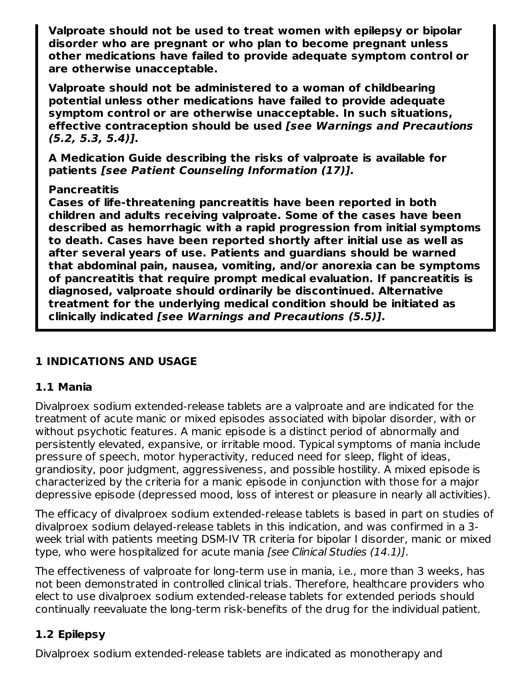**Valproate should not be used to treat women with epilepsy or bipolar disorder who are pregnant or who plan to become pregnant unless other medications have failed to provide adequate symptom control or are otherwise unacceptable.**

**Valproate should not be administered to a woman of childbearing potential unless other medications have failed to provide adequate symptom control or are otherwise unacceptable. In such situations, effective contraception should be used [see Warnings and Precautions (5.2, 5.3, 5.4)].**

**A Medication Guide describing the risks of valproate is available for patients [see Patient Counseling Information (17)].**

#### **Pancreatitis**

**Cases of life-threatening pancreatitis have been reported in both children and adults receiving valproate. Some of the cases have been described as hemorrhagic with a rapid progression from initial symptoms to death. Cases have been reported shortly after initial use as well as after several years of use. Patients and guardians should be warned that abdominal pain, nausea, vomiting, and/or anorexia can be symptoms of pancreatitis that require prompt medical evaluation. If pancreatitis is diagnosed, valproate should ordinarily be discontinued. Alternative treatment for the underlying medical condition should be initiated as clinically indicated [see Warnings and Precautions (5.5)].**

## **1 INDICATIONS AND USAGE**

### **1.1 Mania**

Divalproex sodium extended-release tablets are a valproate and are indicated for the treatment of acute manic or mixed episodes associated with bipolar disorder, with or without psychotic features. A manic episode is a distinct period of abnormally and persistently elevated, expansive, or irritable mood. Typical symptoms of mania include pressure of speech, motor hyperactivity, reduced need for sleep, flight of ideas, grandiosity, poor judgment, aggressiveness, and possible hostility. A mixed episode is characterized by the criteria for a manic episode in conjunction with those for a major depressive episode (depressed mood, loss of interest or pleasure in nearly all activities).

The efficacy of divalproex sodium extended-release tablets is based in part on studies of divalproex sodium delayed-release tablets in this indication, and was confirmed in a 3 week trial with patients meeting DSM-IV TR criteria for bipolar I disorder, manic or mixed type, who were hospitalized for acute mania [see Clinical Studies (14.1)].

The effectiveness of valproate for long-term use in mania, i.e., more than 3 weeks, has not been demonstrated in controlled clinical trials. Therefore, healthcare providers who elect to use divalproex sodium extended-release tablets for extended periods should continually reevaluate the long-term risk-benefits of the drug for the individual patient.

## **1.2 Epilepsy**

Divalproex sodium extended-release tablets are indicated as monotherapy and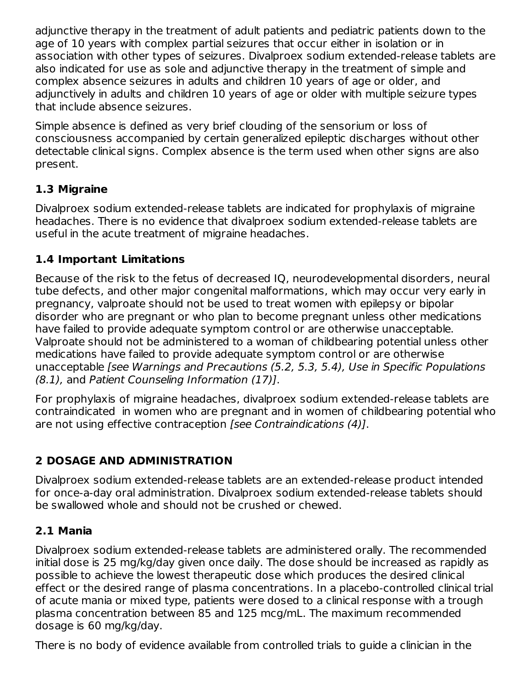adjunctive therapy in the treatment of adult patients and pediatric patients down to the age of 10 years with complex partial seizures that occur either in isolation or in association with other types of seizures. Divalproex sodium extended-release tablets are also indicated for use as sole and adjunctive therapy in the treatment of simple and complex absence seizures in adults and children 10 years of age or older, and adjunctively in adults and children 10 years of age or older with multiple seizure types that include absence seizures.

Simple absence is defined as very brief clouding of the sensorium or loss of consciousness accompanied by certain generalized epileptic discharges without other detectable clinical signs. Complex absence is the term used when other signs are also present.

## **1.3 Migraine**

Divalproex sodium extended-release tablets are indicated for prophylaxis of migraine headaches. There is no evidence that divalproex sodium extended-release tablets are useful in the acute treatment of migraine headaches.

## **1.4 Important Limitations**

Because of the risk to the fetus of decreased IQ, neurodevelopmental disorders, neural tube defects, and other major congenital malformations, which may occur very early in pregnancy, valproate should not be used to treat women with epilepsy or bipolar disorder who are pregnant or who plan to become pregnant unless other medications have failed to provide adequate symptom control or are otherwise unacceptable. Valproate should not be administered to a woman of childbearing potential unless other medications have failed to provide adequate symptom control or are otherwise unacceptable [see Warnings and Precautions (5.2, 5.3, 5.4), Use in Specific Populations (8.1), and Patient Counseling Information (17)].

For prophylaxis of migraine headaches, divalproex sodium extended-release tablets are contraindicated in women who are pregnant and in women of childbearing potential who are not using effective contraception [see Contraindications (4)].

## **2 DOSAGE AND ADMINISTRATION**

Divalproex sodium extended-release tablets are an extended-release product intended for once-a-day oral administration. Divalproex sodium extended-release tablets should be swallowed whole and should not be crushed or chewed.

## **2.1 Mania**

Divalproex sodium extended-release tablets are administered orally. The recommended initial dose is 25 mg/kg/day given once daily. The dose should be increased as rapidly as possible to achieve the lowest therapeutic dose which produces the desired clinical effect or the desired range of plasma concentrations. In a placebo-controlled clinical trial of acute mania or mixed type, patients were dosed to a clinical response with a trough plasma concentration between 85 and 125 mcg/mL. The maximum recommended dosage is 60 mg/kg/day.

There is no body of evidence available from controlled trials to guide a clinician in the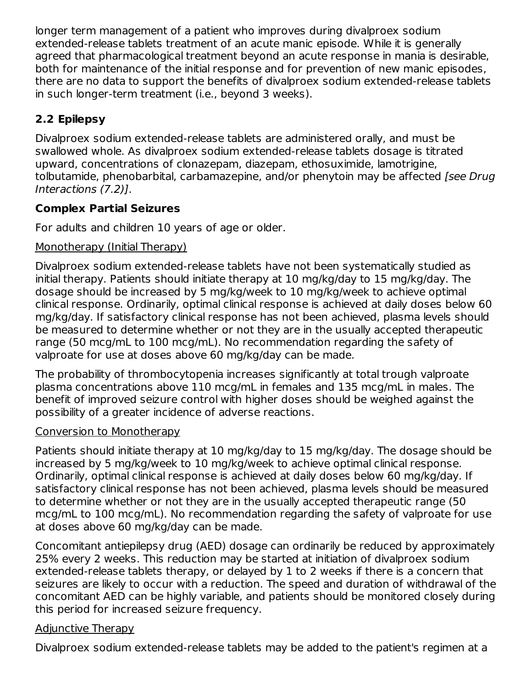longer term management of a patient who improves during divalproex sodium extended-release tablets treatment of an acute manic episode. While it is generally agreed that pharmacological treatment beyond an acute response in mania is desirable, both for maintenance of the initial response and for prevention of new manic episodes, there are no data to support the benefits of divalproex sodium extended-release tablets in such longer-term treatment (i.e., beyond 3 weeks).

## **2.2 Epilepsy**

Divalproex sodium extended-release tablets are administered orally, and must be swallowed whole. As divalproex sodium extended-release tablets dosage is titrated upward, concentrations of clonazepam, diazepam, ethosuximide, lamotrigine, tolbutamide, phenobarbital, carbamazepine, and/or phenytoin may be affected [see Drug] Interactions (7.2)].

## **Complex Partial Seizures**

For adults and children 10 years of age or older.

## Monotherapy (Initial Therapy)

Divalproex sodium extended-release tablets have not been systematically studied as initial therapy. Patients should initiate therapy at 10 mg/kg/day to 15 mg/kg/day. The dosage should be increased by 5 mg/kg/week to 10 mg/kg/week to achieve optimal clinical response. Ordinarily, optimal clinical response is achieved at daily doses below 60 mg/kg/day. If satisfactory clinical response has not been achieved, plasma levels should be measured to determine whether or not they are in the usually accepted therapeutic range (50 mcg/mL to 100 mcg/mL). No recommendation regarding the safety of valproate for use at doses above 60 mg/kg/day can be made.

The probability of thrombocytopenia increases significantly at total trough valproate plasma concentrations above 110 mcg/mL in females and 135 mcg/mL in males. The benefit of improved seizure control with higher doses should be weighed against the possibility of a greater incidence of adverse reactions.

### Conversion to Monotherapy

Patients should initiate therapy at 10 mg/kg/day to 15 mg/kg/day. The dosage should be increased by 5 mg/kg/week to 10 mg/kg/week to achieve optimal clinical response. Ordinarily, optimal clinical response is achieved at daily doses below 60 mg/kg/day. If satisfactory clinical response has not been achieved, plasma levels should be measured to determine whether or not they are in the usually accepted therapeutic range (50 mcg/mL to 100 mcg/mL). No recommendation regarding the safety of valproate for use at doses above 60 mg/kg/day can be made.

Concomitant antiepilepsy drug (AED) dosage can ordinarily be reduced by approximately 25% every 2 weeks. This reduction may be started at initiation of divalproex sodium extended-release tablets therapy, or delayed by 1 to 2 weeks if there is a concern that seizures are likely to occur with a reduction. The speed and duration of withdrawal of the concomitant AED can be highly variable, and patients should be monitored closely during this period for increased seizure frequency.

## Adjunctive Therapy

Divalproex sodium extended-release tablets may be added to the patient's regimen at a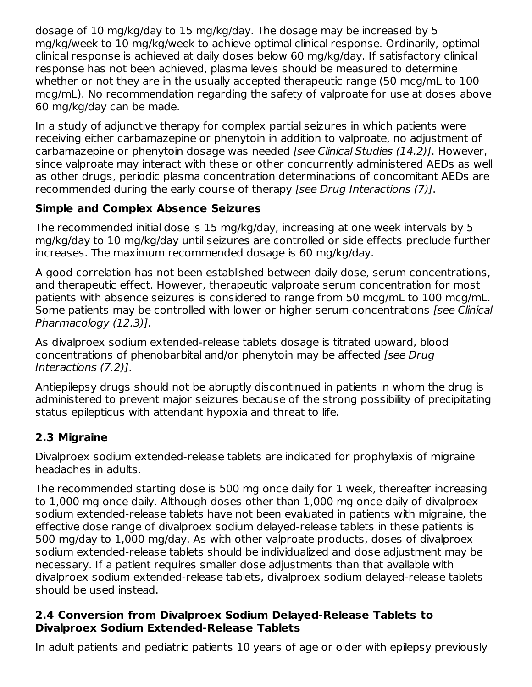dosage of 10 mg/kg/day to 15 mg/kg/day. The dosage may be increased by 5 mg/kg/week to 10 mg/kg/week to achieve optimal clinical response. Ordinarily, optimal clinical response is achieved at daily doses below 60 mg/kg/day. If satisfactory clinical response has not been achieved, plasma levels should be measured to determine whether or not they are in the usually accepted therapeutic range (50 mcg/mL to 100 mcg/mL). No recommendation regarding the safety of valproate for use at doses above 60 mg/kg/day can be made.

In a study of adjunctive therapy for complex partial seizures in which patients were receiving either carbamazepine or phenytoin in addition to valproate, no adjustment of carbamazepine or phenytoin dosage was needed [see Clinical Studies (14.2)]. However, since valproate may interact with these or other concurrently administered AEDs as well as other drugs, periodic plasma concentration determinations of concomitant AEDs are recommended during the early course of therapy [see Drug Interactions (7)].

## **Simple and Complex Absence Seizures**

The recommended initial dose is 15 mg/kg/day, increasing at one week intervals by 5 mg/kg/day to 10 mg/kg/day until seizures are controlled or side effects preclude further increases. The maximum recommended dosage is 60 mg/kg/day.

A good correlation has not been established between daily dose, serum concentrations, and therapeutic effect. However, therapeutic valproate serum concentration for most patients with absence seizures is considered to range from 50 mcg/mL to 100 mcg/mL. Some patients may be controlled with lower or higher serum concentrations *[see Clinical*] Pharmacology (12.3)].

As divalproex sodium extended-release tablets dosage is titrated upward, blood concentrations of phenobarbital and/or phenytoin may be affected [see Drug] Interactions (7.2)].

Antiepilepsy drugs should not be abruptly discontinued in patients in whom the drug is administered to prevent major seizures because of the strong possibility of precipitating status epilepticus with attendant hypoxia and threat to life.

## **2.3 Migraine**

Divalproex sodium extended-release tablets are indicated for prophylaxis of migraine headaches in adults.

The recommended starting dose is 500 mg once daily for 1 week, thereafter increasing to 1,000 mg once daily. Although doses other than 1,000 mg once daily of divalproex sodium extended-release tablets have not been evaluated in patients with migraine, the effective dose range of divalproex sodium delayed-release tablets in these patients is 500 mg/day to 1,000 mg/day. As with other valproate products, doses of divalproex sodium extended-release tablets should be individualized and dose adjustment may be necessary. If a patient requires smaller dose adjustments than that available with divalproex sodium extended-release tablets, divalproex sodium delayed-release tablets should be used instead.

### **2.4 Conversion from Divalproex Sodium Delayed-Release Tablets to Divalproex Sodium Extended-Release Tablets**

In adult patients and pediatric patients 10 years of age or older with epilepsy previously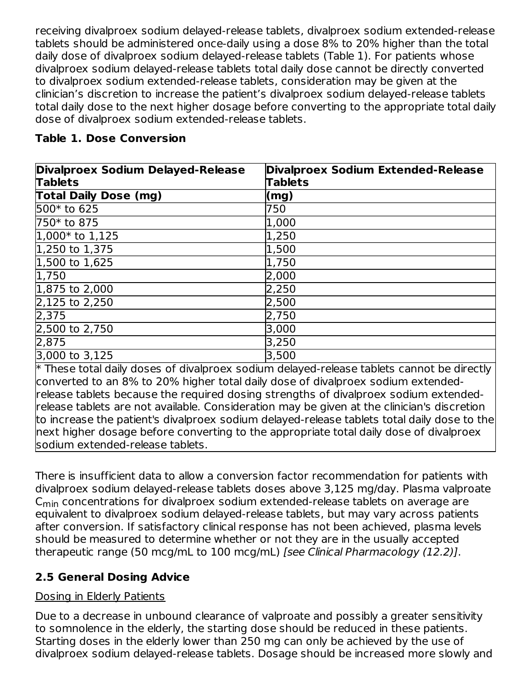receiving divalproex sodium delayed-release tablets, divalproex sodium extended-release tablets should be administered once-daily using a dose 8% to 20% higher than the total daily dose of divalproex sodium delayed-release tablets (Table 1). For patients whose divalproex sodium delayed-release tablets total daily dose cannot be directly converted to divalproex sodium extended-release tablets, consideration may be given at the clinician's discretion to increase the patient's divalproex sodium delayed-release tablets total daily dose to the next higher dosage before converting to the appropriate total daily dose of divalproex sodium extended-release tablets.

| <b>Divalproex Sodium Delayed-Release</b><br><b>Tablets</b> | Divalproex Sodium Extended-Release<br><b>Tablets</b>                                               |
|------------------------------------------------------------|----------------------------------------------------------------------------------------------------|
| <b>Total Daily Dose (mg)</b>                               | (mg)                                                                                               |
| 500* to 625                                                | 750                                                                                                |
| 750* to 875                                                | 1,000                                                                                              |
| 1,000* to 1,125                                            | 1,250                                                                                              |
| 1,250 to 1,375                                             | 1,500                                                                                              |
| 1,500 to 1,625                                             | 1,750                                                                                              |
| 1,750                                                      | 2,000                                                                                              |
| 1,875 to 2,000                                             | 2,250                                                                                              |
| 2,125 to 2,250                                             | 2,500                                                                                              |
| 2,375                                                      | 2,750                                                                                              |
| 2,500 to 2,750                                             | 3,000                                                                                              |
| 2,875                                                      | 3,250                                                                                              |
| 3,000 to 3,125                                             | 3,500                                                                                              |
|                                                            | $\star$ These total daily desse of divelopeans sedium delayed release toblets connect he directly. |

#### **Table 1. Dose Conversion**

These total daily doses of divalproex sodium delayed-release tablets cannot be directly converted to an 8% to 20% higher total daily dose of divalproex sodium extendedrelease tablets because the required dosing strengths of divalproex sodium extendedrelease tablets are not available. Consideration may be given at the clinician's discretion to increase the patient's divalproex sodium delayed-release tablets total daily dose to the next higher dosage before converting to the appropriate total daily dose of divalproex sodium extended-release tablets.

There is insufficient data to allow a conversion factor recommendation for patients with divalproex sodium delayed-release tablets doses above 3,125 mg/day. Plasma valproate  $\mathsf{C}_{\mathsf{min}}$  concentrations for divalproex sodium extended-release tablets on average are equivalent to divalproex sodium delayed-release tablets, but may vary across patients after conversion. If satisfactory clinical response has not been achieved, plasma levels should be measured to determine whether or not they are in the usually accepted therapeutic range (50 mcg/mL to 100 mcg/mL) [see Clinical Pharmacology (12.2)].

## **2.5 General Dosing Advice**

## Dosing in Elderly Patients

Due to a decrease in unbound clearance of valproate and possibly a greater sensitivity to somnolence in the elderly, the starting dose should be reduced in these patients. Starting doses in the elderly lower than 250 mg can only be achieved by the use of divalproex sodium delayed-release tablets. Dosage should be increased more slowly and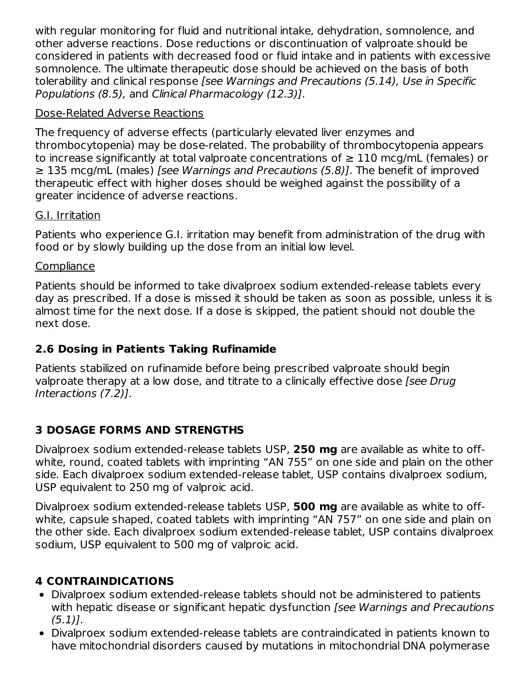with regular monitoring for fluid and nutritional intake, dehydration, somnolence, and other adverse reactions. Dose reductions or discontinuation of valproate should be considered in patients with decreased food or fluid intake and in patients with excessive somnolence. The ultimate therapeutic dose should be achieved on the basis of both tolerability and clinical response [see Warnings and Precautions (5.14), Use in Specific Populations (8.5), and Clinical Pharmacology (12.3)].

### Dose-Related Adverse Reactions

The frequency of adverse effects (particularly elevated liver enzymes and thrombocytopenia) may be dose-related. The probability of thrombocytopenia appears to increase significantly at total valproate concentrations of  $\geq 110$  mcg/mL (females) or ≥ 135 mcg/mL (males) [see Warnings and Precautions (5.8)]. The benefit of improved therapeutic effect with higher doses should be weighed against the possibility of a greater incidence of adverse reactions.

## G.I. Irritation

Patients who experience G.I. irritation may benefit from administration of the drug with food or by slowly building up the dose from an initial low level.

## **Compliance**

Patients should be informed to take divalproex sodium extended-release tablets every day as prescribed. If a dose is missed it should be taken as soon as possible, unless it is almost time for the next dose. If a dose is skipped, the patient should not double the next dose.

## **2.6 Dosing in Patients Taking Rufinamide**

Patients stabilized on rufinamide before being prescribed valproate should begin valproate therapy at a low dose, and titrate to a clinically effective dose [see Drug] Interactions (7.2)].

## **3 DOSAGE FORMS AND STRENGTHS**

Divalproex sodium extended-release tablets USP, **250 mg** are available as white to offwhite, round, coated tablets with imprinting "AN 755" on one side and plain on the other side. Each divalproex sodium extended-release tablet, USP contains divalproex sodium, USP equivalent to 250 mg of valproic acid.

Divalproex sodium extended-release tablets USP, **500 mg** are available as white to offwhite, capsule shaped, coated tablets with imprinting "AN 757" on one side and plain on the other side. Each divalproex sodium extended-release tablet, USP contains divalproex sodium, USP equivalent to 500 mg of valproic acid.

## **4 CONTRAINDICATIONS**

- Divalproex sodium extended-release tablets should not be administered to patients with hepatic disease or significant hepatic dysfunction *[see Warnings and Precautions*  $(5.1)$ .
- Divalproex sodium extended-release tablets are contraindicated in patients known to have mitochondrial disorders caused by mutations in mitochondrial DNA polymerase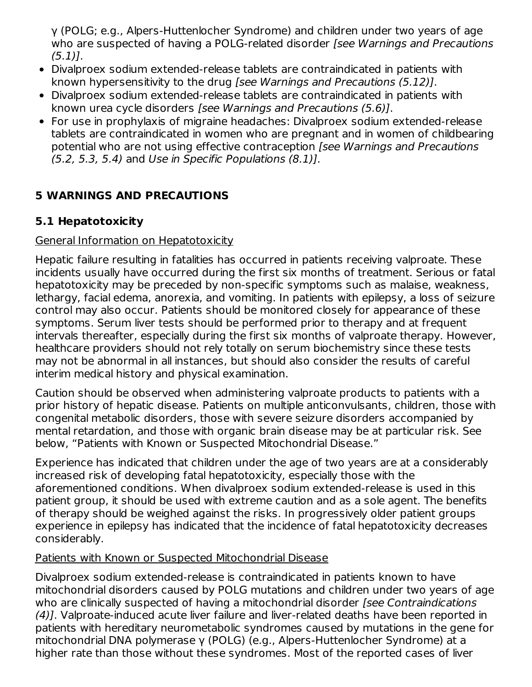γ (POLG; e.g., Alpers-Huttenlocher Syndrome) and children under two years of age who are suspected of having a POLG-related disorder [see Warnings and Precautions (5.1)].

- Divalproex sodium extended-release tablets are contraindicated in patients with known hypersensitivity to the drug [see Warnings and Precautions (5.12)].
- Divalproex sodium extended-release tablets are contraindicated in patients with known urea cycle disorders [see Warnings and Precautions (5.6)].
- For use in prophylaxis of migraine headaches: Divalproex sodium extended-release tablets are contraindicated in women who are pregnant and in women of childbearing potential who are not using effective contraception [see Warnings and Precautions  $(5.2, 5.3, 5.4)$  and Use in Specific Populations  $(8.1)$ ].

## **5 WARNINGS AND PRECAUTIONS**

## **5.1 Hepatotoxicity**

## General Information on Hepatotoxicity

Hepatic failure resulting in fatalities has occurred in patients receiving valproate. These incidents usually have occurred during the first six months of treatment. Serious or fatal hepatotoxicity may be preceded by non-specific symptoms such as malaise, weakness, lethargy, facial edema, anorexia, and vomiting. In patients with epilepsy, a loss of seizure control may also occur. Patients should be monitored closely for appearance of these symptoms. Serum liver tests should be performed prior to therapy and at frequent intervals thereafter, especially during the first six months of valproate therapy. However, healthcare providers should not rely totally on serum biochemistry since these tests may not be abnormal in all instances, but should also consider the results of careful interim medical history and physical examination.

Caution should be observed when administering valproate products to patients with a prior history of hepatic disease. Patients on multiple anticonvulsants, children, those with congenital metabolic disorders, those with severe seizure disorders accompanied by mental retardation, and those with organic brain disease may be at particular risk. See below, "Patients with Known or Suspected Mitochondrial Disease."

Experience has indicated that children under the age of two years are at a considerably increased risk of developing fatal hepatotoxicity, especially those with the aforementioned conditions. When divalproex sodium extended-release is used in this patient group, it should be used with extreme caution and as a sole agent. The benefits of therapy should be weighed against the risks. In progressively older patient groups experience in epilepsy has indicated that the incidence of fatal hepatotoxicity decreases considerably.

## Patients with Known or Suspected Mitochondrial Disease

Divalproex sodium extended-release is contraindicated in patients known to have mitochondrial disorders caused by POLG mutations and children under two years of age who are clinically suspected of having a mitochondrial disorder *[see Contraindications* (4)]. Valproate-induced acute liver failure and liver-related deaths have been reported in patients with hereditary neurometabolic syndromes caused by mutations in the gene for mitochondrial DNA polymerase γ (POLG) (e.g., Alpers-Huttenlocher Syndrome) at a higher rate than those without these syndromes. Most of the reported cases of liver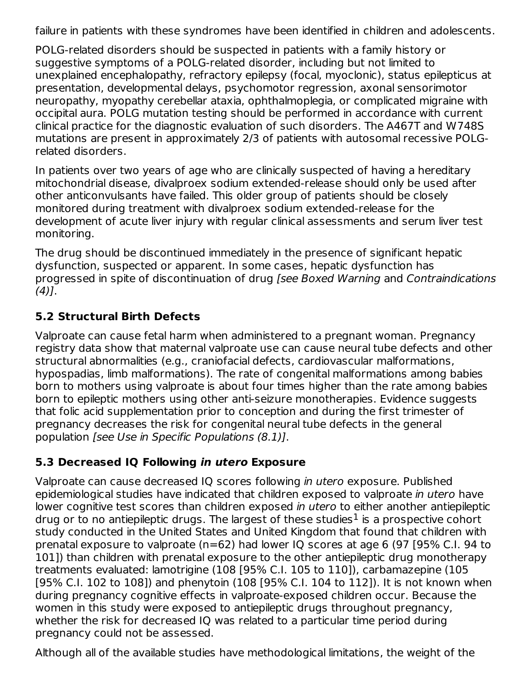failure in patients with these syndromes have been identified in children and adolescents.

POLG-related disorders should be suspected in patients with a family history or suggestive symptoms of a POLG-related disorder, including but not limited to unexplained encephalopathy, refractory epilepsy (focal, myoclonic), status epilepticus at presentation, developmental delays, psychomotor regression, axonal sensorimotor neuropathy, myopathy cerebellar ataxia, ophthalmoplegia, or complicated migraine with occipital aura. POLG mutation testing should be performed in accordance with current clinical practice for the diagnostic evaluation of such disorders. The A467T and W748S mutations are present in approximately 2/3 of patients with autosomal recessive POLGrelated disorders.

In patients over two years of age who are clinically suspected of having a hereditary mitochondrial disease, divalproex sodium extended-release should only be used after other anticonvulsants have failed. This older group of patients should be closely monitored during treatment with divalproex sodium extended-release for the development of acute liver injury with regular clinical assessments and serum liver test monitoring.

The drug should be discontinued immediately in the presence of significant hepatic dysfunction, suspected or apparent. In some cases, hepatic dysfunction has progressed in spite of discontinuation of drug [see Boxed Warning and Contraindications  $(4)$ ].

## **5.2 Structural Birth Defects**

Valproate can cause fetal harm when administered to a pregnant woman. Pregnancy registry data show that maternal valproate use can cause neural tube defects and other structural abnormalities (e.g., craniofacial defects, cardiovascular malformations, hypospadias, limb malformations). The rate of congenital malformations among babies born to mothers using valproate is about four times higher than the rate among babies born to epileptic mothers using other anti-seizure monotherapies. Evidence suggests that folic acid supplementation prior to conception and during the first trimester of pregnancy decreases the risk for congenital neural tube defects in the general population [see Use in Specific Populations (8.1)].

## **5.3 Decreased IQ Following in utero Exposure**

Valproate can cause decreased IQ scores following in utero exposure. Published epidemiological studies have indicated that children exposed to valproate in utero have lower cognitive test scores than children exposed in utero to either another antiepileptic drug or to no antiepileptic drugs. The largest of these studies $^1$  is a prospective cohort study conducted in the United States and United Kingdom that found that children with prenatal exposure to valproate (n=62) had lower IQ scores at age 6 (97 [95% C.I. 94 to 101]) than children with prenatal exposure to the other antiepileptic drug monotherapy treatments evaluated: lamotrigine (108 [95% C.I. 105 to 110]), carbamazepine (105 [95% C.I. 102 to 108]) and phenytoin (108 [95% C.I. 104 to 112]). It is not known when during pregnancy cognitive effects in valproate-exposed children occur. Because the women in this study were exposed to antiepileptic drugs throughout pregnancy, whether the risk for decreased IQ was related to a particular time period during pregnancy could not be assessed.

Although all of the available studies have methodological limitations, the weight of the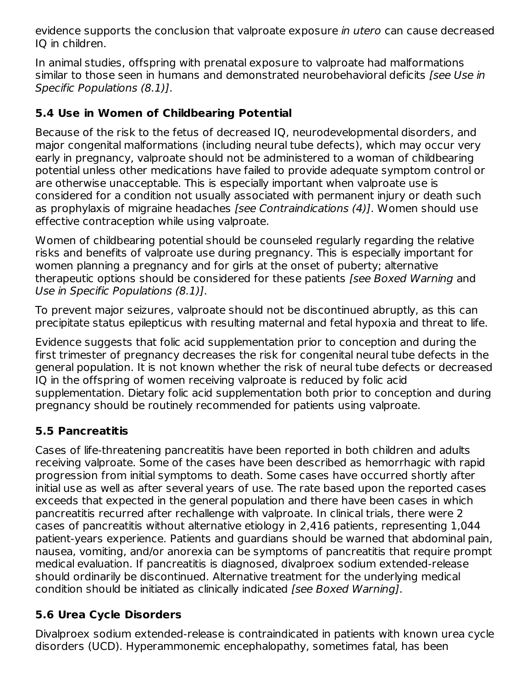evidence supports the conclusion that valproate exposure in utero can cause decreased IQ in children.

In animal studies, offspring with prenatal exposure to valproate had malformations similar to those seen in humans and demonstrated neurobehavioral deficits *[see Use in* Specific Populations (8.1)].

## **5.4 Use in Women of Childbearing Potential**

Because of the risk to the fetus of decreased IQ, neurodevelopmental disorders, and major congenital malformations (including neural tube defects), which may occur very early in pregnancy, valproate should not be administered to a woman of childbearing potential unless other medications have failed to provide adequate symptom control or are otherwise unacceptable. This is especially important when valproate use is considered for a condition not usually associated with permanent injury or death such as prophylaxis of migraine headaches [see Contraindications (4)]. Women should use effective contraception while using valproate.

Women of childbearing potential should be counseled regularly regarding the relative risks and benefits of valproate use during pregnancy. This is especially important for women planning a pregnancy and for girls at the onset of puberty; alternative therapeutic options should be considered for these patients *[see Boxed Warning* and Use in Specific Populations (8.1)].

To prevent major seizures, valproate should not be discontinued abruptly, as this can precipitate status epilepticus with resulting maternal and fetal hypoxia and threat to life.

Evidence suggests that folic acid supplementation prior to conception and during the first trimester of pregnancy decreases the risk for congenital neural tube defects in the general population. It is not known whether the risk of neural tube defects or decreased IQ in the offspring of women receiving valproate is reduced by folic acid supplementation. Dietary folic acid supplementation both prior to conception and during pregnancy should be routinely recommended for patients using valproate.

## **5.5 Pancreatitis**

Cases of life-threatening pancreatitis have been reported in both children and adults receiving valproate. Some of the cases have been described as hemorrhagic with rapid progression from initial symptoms to death. Some cases have occurred shortly after initial use as well as after several years of use. The rate based upon the reported cases exceeds that expected in the general population and there have been cases in which pancreatitis recurred after rechallenge with valproate. In clinical trials, there were 2 cases of pancreatitis without alternative etiology in 2,416 patients, representing 1,044 patient-years experience. Patients and guardians should be warned that abdominal pain, nausea, vomiting, and/or anorexia can be symptoms of pancreatitis that require prompt medical evaluation. If pancreatitis is diagnosed, divalproex sodium extended-release should ordinarily be discontinued. Alternative treatment for the underlying medical condition should be initiated as clinically indicated [see Boxed Warning].

## **5.6 Urea Cycle Disorders**

Divalproex sodium extended-release is contraindicated in patients with known urea cycle disorders (UCD). Hyperammonemic encephalopathy, sometimes fatal, has been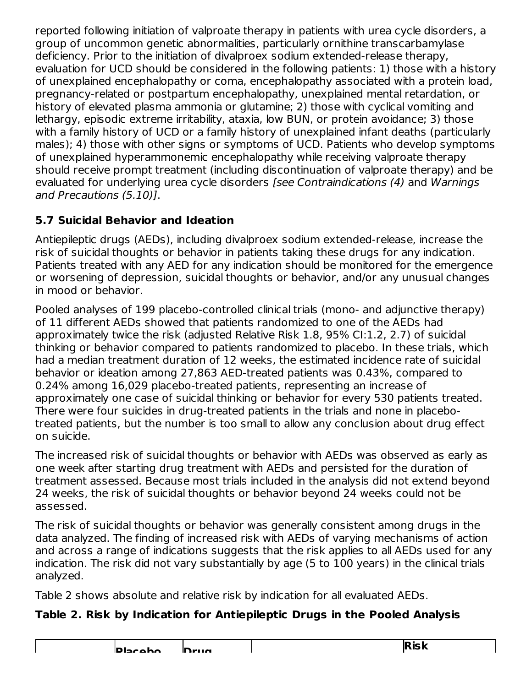reported following initiation of valproate therapy in patients with urea cycle disorders, a group of uncommon genetic abnormalities, particularly ornithine transcarbamylase deficiency. Prior to the initiation of divalproex sodium extended-release therapy, evaluation for UCD should be considered in the following patients: 1) those with a history of unexplained encephalopathy or coma, encephalopathy associated with a protein load, pregnancy-related or postpartum encephalopathy, unexplained mental retardation, or history of elevated plasma ammonia or glutamine; 2) those with cyclical vomiting and lethargy, episodic extreme irritability, ataxia, low BUN, or protein avoidance; 3) those with a family history of UCD or a family history of unexplained infant deaths (particularly males); 4) those with other signs or symptoms of UCD. Patients who develop symptoms of unexplained hyperammonemic encephalopathy while receiving valproate therapy should receive prompt treatment (including discontinuation of valproate therapy) and be evaluated for underlying urea cycle disorders [see Contraindications (4) and Warnings and Precautions (5.10)].

# **5.7 Suicidal Behavior and Ideation**

Antiepileptic drugs (AEDs), including divalproex sodium extended-release, increase the risk of suicidal thoughts or behavior in patients taking these drugs for any indication. Patients treated with any AED for any indication should be monitored for the emergence or worsening of depression, suicidal thoughts or behavior, and/or any unusual changes in mood or behavior.

Pooled analyses of 199 placebo-controlled clinical trials (mono- and adjunctive therapy) of 11 different AEDs showed that patients randomized to one of the AEDs had approximately twice the risk (adjusted Relative Risk 1.8, 95% CI:1.2, 2.7) of suicidal thinking or behavior compared to patients randomized to placebo. In these trials, which had a median treatment duration of 12 weeks, the estimated incidence rate of suicidal behavior or ideation among 27,863 AED-treated patients was 0.43%, compared to 0.24% among 16,029 placebo-treated patients, representing an increase of approximately one case of suicidal thinking or behavior for every 530 patients treated. There were four suicides in drug-treated patients in the trials and none in placebotreated patients, but the number is too small to allow any conclusion about drug effect on suicide.

The increased risk of suicidal thoughts or behavior with AEDs was observed as early as one week after starting drug treatment with AEDs and persisted for the duration of treatment assessed. Because most trials included in the analysis did not extend beyond 24 weeks, the risk of suicidal thoughts or behavior beyond 24 weeks could not be assessed.

The risk of suicidal thoughts or behavior was generally consistent among drugs in the data analyzed. The finding of increased risk with AEDs of varying mechanisms of action and across a range of indications suggests that the risk applies to all AEDs used for any indication. The risk did not vary substantially by age (5 to 100 years) in the clinical trials analyzed.

Table 2 shows absolute and relative risk by indication for all evaluated AEDs.

# **Table 2. Risk by Indication for Antiepileptic Drugs in the Pooled Analysis**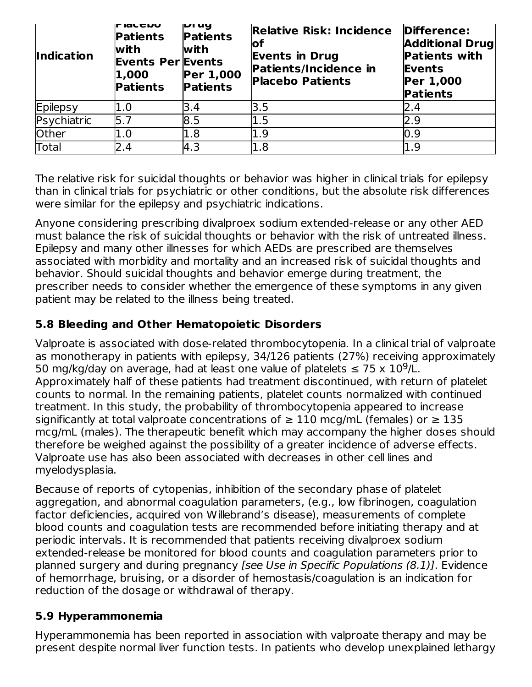| <b>Indication</b> | ır ıalcıv<br><b>Patients</b><br><b>with</b><br><b>Events Per Events</b><br>1,000<br><b>Patients</b> | <b>IVI UY</b><br><b>Patients</b><br>with<br>Per 1,000<br><b>Patients</b> | <b>Relative Risk: Incidence</b><br>lof<br><b>Events in Drug</b><br>Patients/Incidence in<br><b>Placebo Patients</b> | Difference:<br><b>Additional Drug</b><br><b>Patients with</b><br><b>Events</b><br>Per 1,000<br><b>Patients</b> |
|-------------------|-----------------------------------------------------------------------------------------------------|--------------------------------------------------------------------------|---------------------------------------------------------------------------------------------------------------------|----------------------------------------------------------------------------------------------------------------|
| Epilepsy          | 1.0                                                                                                 | 3.4                                                                      | 3.5                                                                                                                 | 2.4                                                                                                            |
| Psychiatric       | 5.7                                                                                                 | 8.5                                                                      | 1.5                                                                                                                 | 2.9                                                                                                            |
| Other             | 1.0                                                                                                 | 1.8                                                                      | 1.9                                                                                                                 | 0.9                                                                                                            |
| Total             | 2.4                                                                                                 | 4.3                                                                      | 1.8                                                                                                                 | L.9                                                                                                            |

The relative risk for suicidal thoughts or behavior was higher in clinical trials for epilepsy than in clinical trials for psychiatric or other conditions, but the absolute risk differences were similar for the epilepsy and psychiatric indications.

Anyone considering prescribing divalproex sodium extended-release or any other AED must balance the risk of suicidal thoughts or behavior with the risk of untreated illness. Epilepsy and many other illnesses for which AEDs are prescribed are themselves associated with morbidity and mortality and an increased risk of suicidal thoughts and behavior. Should suicidal thoughts and behavior emerge during treatment, the prescriber needs to consider whether the emergence of these symptoms in any given patient may be related to the illness being treated.

## **5.8 Bleeding and Other Hematopoietic Disorders**

Valproate is associated with dose-related thrombocytopenia. In a clinical trial of valproate as monotherapy in patients with epilepsy, 34/126 patients (27%) receiving approximately 50 mg/kg/day on average, had at least one value of platelets  $\leq 75 \times 10^9$ /L. Approximately half of these patients had treatment discontinued, with return of platelet counts to normal. In the remaining patients, platelet counts normalized with continued treatment. In this study, the probability of thrombocytopenia appeared to increase significantly at total valproate concentrations of  $\geq 110$  mcg/mL (females) or  $\geq 135$ mcg/mL (males). The therapeutic benefit which may accompany the higher doses should therefore be weighed against the possibility of a greater incidence of adverse effects. Valproate use has also been associated with decreases in other cell lines and myelodysplasia.

Because of reports of cytopenias, inhibition of the secondary phase of platelet aggregation, and abnormal coagulation parameters, (e.g., low fibrinogen, coagulation factor deficiencies, acquired von Willebrand's disease), measurements of complete blood counts and coagulation tests are recommended before initiating therapy and at periodic intervals. It is recommended that patients receiving divalproex sodium extended-release be monitored for blood counts and coagulation parameters prior to planned surgery and during pregnancy [see Use in Specific Populations (8.1)]. Evidence of hemorrhage, bruising, or a disorder of hemostasis/coagulation is an indication for reduction of the dosage or withdrawal of therapy.

### **5.9 Hyperammonemia**

Hyperammonemia has been reported in association with valproate therapy and may be present despite normal liver function tests. In patients who develop unexplained lethargy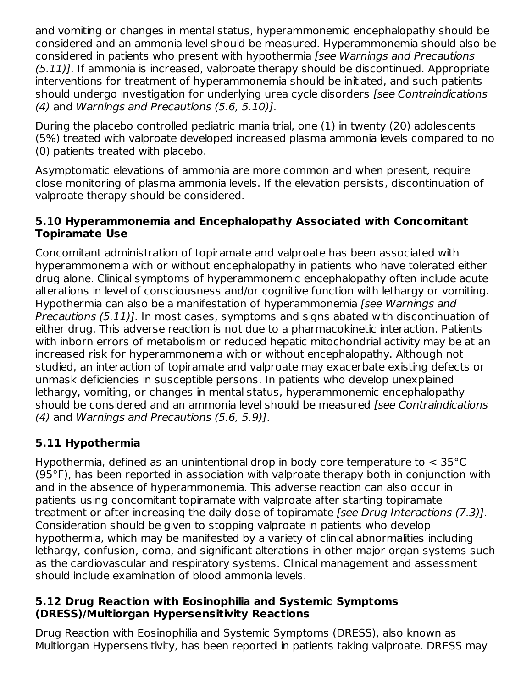and vomiting or changes in mental status, hyperammonemic encephalopathy should be considered and an ammonia level should be measured. Hyperammonemia should also be considered in patients who present with hypothermia [see Warnings and Precautions (5.11)]. If ammonia is increased, valproate therapy should be discontinued. Appropriate interventions for treatment of hyperammonemia should be initiated, and such patients should undergo investigation for underlying urea cycle disorders [see Contraindications (4) and Warnings and Precautions (5.6, 5.10)].

During the placebo controlled pediatric mania trial, one (1) in twenty (20) adolescents (5%) treated with valproate developed increased plasma ammonia levels compared to no (0) patients treated with placebo.

Asymptomatic elevations of ammonia are more common and when present, require close monitoring of plasma ammonia levels. If the elevation persists, discontinuation of valproate therapy should be considered.

### **5.10 Hyperammonemia and Encephalopathy Associated with Concomitant Topiramate Use**

Concomitant administration of topiramate and valproate has been associated with hyperammonemia with or without encephalopathy in patients who have tolerated either drug alone. Clinical symptoms of hyperammonemic encephalopathy often include acute alterations in level of consciousness and/or cognitive function with lethargy or vomiting. Hypothermia can also be a manifestation of hyperammonemia [see Warnings and Precautions (5.11)]. In most cases, symptoms and signs abated with discontinuation of either drug. This adverse reaction is not due to a pharmacokinetic interaction. Patients with inborn errors of metabolism or reduced hepatic mitochondrial activity may be at an increased risk for hyperammonemia with or without encephalopathy. Although not studied, an interaction of topiramate and valproate may exacerbate existing defects or unmask deficiencies in susceptible persons. In patients who develop unexplained lethargy, vomiting, or changes in mental status, hyperammonemic encephalopathy should be considered and an ammonia level should be measured *[see Contraindications* (4) and Warnings and Precautions (5.6, 5.9)].

## **5.11 Hypothermia**

Hypothermia, defined as an unintentional drop in body core temperature to < 35°C (95°F), has been reported in association with valproate therapy both in conjunction with and in the absence of hyperammonemia. This adverse reaction can also occur in patients using concomitant topiramate with valproate after starting topiramate treatment or after increasing the daily dose of topiramate [see Drug Interactions (7.3)]. Consideration should be given to stopping valproate in patients who develop hypothermia, which may be manifested by a variety of clinical abnormalities including lethargy, confusion, coma, and significant alterations in other major organ systems such as the cardiovascular and respiratory systems. Clinical management and assessment should include examination of blood ammonia levels.

### **5.12 Drug Reaction with Eosinophilia and Systemic Symptoms (DRESS)/Multiorgan Hypersensitivity Reactions**

Drug Reaction with Eosinophilia and Systemic Symptoms (DRESS), also known as Multiorgan Hypersensitivity, has been reported in patients taking valproate. DRESS may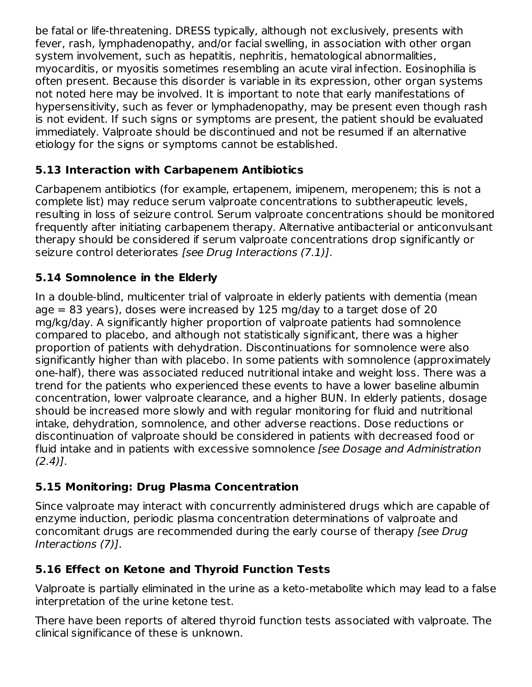be fatal or life-threatening. DRESS typically, although not exclusively, presents with fever, rash, lymphadenopathy, and/or facial swelling, in association with other organ system involvement, such as hepatitis, nephritis, hematological abnormalities, myocarditis, or myositis sometimes resembling an acute viral infection. Eosinophilia is often present. Because this disorder is variable in its expression, other organ systems not noted here may be involved. It is important to note that early manifestations of hypersensitivity, such as fever or lymphadenopathy, may be present even though rash is not evident. If such signs or symptoms are present, the patient should be evaluated immediately. Valproate should be discontinued and not be resumed if an alternative etiology for the signs or symptoms cannot be established.

## **5.13 Interaction with Carbapenem Antibiotics**

Carbapenem antibiotics (for example, ertapenem, imipenem, meropenem; this is not a complete list) may reduce serum valproate concentrations to subtherapeutic levels, resulting in loss of seizure control. Serum valproate concentrations should be monitored frequently after initiating carbapenem therapy. Alternative antibacterial or anticonvulsant therapy should be considered if serum valproate concentrations drop significantly or seizure control deteriorates [see Drug Interactions (7.1)].

# **5.14 Somnolence in the Elderly**

In a double-blind, multicenter trial of valproate in elderly patients with dementia (mean  $age = 83 \text{ years}$ , doses were increased by 125 mg/day to a target dose of 20 mg/kg/day. A significantly higher proportion of valproate patients had somnolence compared to placebo, and although not statistically significant, there was a higher proportion of patients with dehydration. Discontinuations for somnolence were also significantly higher than with placebo. In some patients with somnolence (approximately one-half), there was associated reduced nutritional intake and weight loss. There was a trend for the patients who experienced these events to have a lower baseline albumin concentration, lower valproate clearance, and a higher BUN. In elderly patients, dosage should be increased more slowly and with regular monitoring for fluid and nutritional intake, dehydration, somnolence, and other adverse reactions. Dose reductions or discontinuation of valproate should be considered in patients with decreased food or fluid intake and in patients with excessive somnolence *[see Dosage and Administration*  $(2.4)$ ].

# **5.15 Monitoring: Drug Plasma Concentration**

Since valproate may interact with concurrently administered drugs which are capable of enzyme induction, periodic plasma concentration determinations of valproate and concomitant drugs are recommended during the early course of therapy [see Drug Interactions (7)].

# **5.16 Effect on Ketone and Thyroid Function Tests**

Valproate is partially eliminated in the urine as a keto-metabolite which may lead to a false interpretation of the urine ketone test.

There have been reports of altered thyroid function tests associated with valproate. The clinical significance of these is unknown.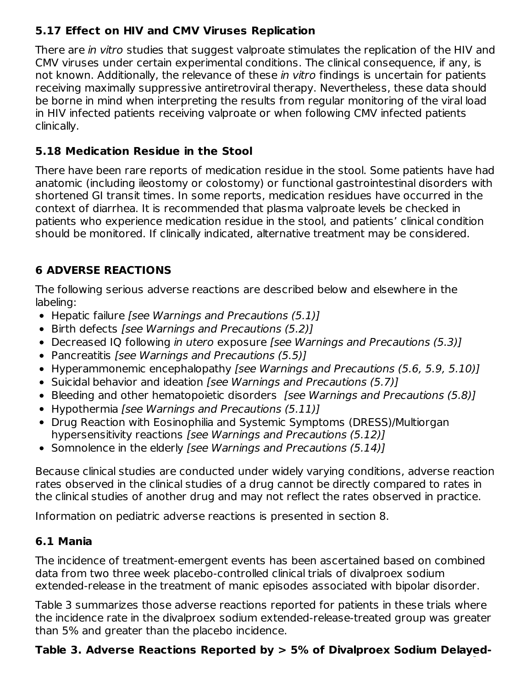## **5.17 Effect on HIV and CMV Viruses Replication**

There are in vitro studies that suggest valproate stimulates the replication of the HIV and CMV viruses under certain experimental conditions. The clinical consequence, if any, is not known. Additionally, the relevance of these in vitro findings is uncertain for patients receiving maximally suppressive antiretroviral therapy. Nevertheless, these data should be borne in mind when interpreting the results from regular monitoring of the viral load in HIV infected patients receiving valproate or when following CMV infected patients clinically.

## **5.18 Medication Residue in the Stool**

There have been rare reports of medication residue in the stool. Some patients have had anatomic (including ileostomy or colostomy) or functional gastrointestinal disorders with shortened GI transit times. In some reports, medication residues have occurred in the context of diarrhea. It is recommended that plasma valproate levels be checked in patients who experience medication residue in the stool, and patients' clinical condition should be monitored. If clinically indicated, alternative treatment may be considered.

## **6 ADVERSE REACTIONS**

The following serious adverse reactions are described below and elsewhere in the labeling:

- Hepatic failure [see Warnings and Precautions (5.1)]
- Birth defects [see Warnings and Precautions (5.2)]
- Decreased IQ following *in utero exposure [see Warnings and Precautions (5.3)]*
- Pancreatitis [see Warnings and Precautions (5.5)]
- Hyperammonemic encephalopathy [see Warnings and Precautions (5.6, 5.9, 5.10)]
- Suicidal behavior and ideation [see Warnings and Precautions (5.7)]
- Bleeding and other hematopoietic disorders [see Warnings and Precautions (5.8)]
- Hypothermia [see Warnings and Precautions (5.11)]
- Drug Reaction with Eosinophilia and Systemic Symptoms (DRESS)/Multiorgan hypersensitivity reactions [see Warnings and Precautions (5.12)]
- Somnolence in the elderly [see Warnings and Precautions (5.14)]

Because clinical studies are conducted under widely varying conditions, adverse reaction rates observed in the clinical studies of a drug cannot be directly compared to rates in the clinical studies of another drug and may not reflect the rates observed in practice.

Information on pediatric adverse reactions is presented in section 8.

## **6.1 Mania**

The incidence of treatment-emergent events has been ascertained based on combined data from two three week placebo-controlled clinical trials of divalproex sodium extended-release in the treatment of manic episodes associated with bipolar disorder.

Table 3 summarizes those adverse reactions reported for patients in these trials where the incidence rate in the divalproex sodium extended-release-treated group was greater than 5% and greater than the placebo incidence.

## **Table 3. Adverse Reactions Reported by > 5% of Divalproex Sodium Delayed-**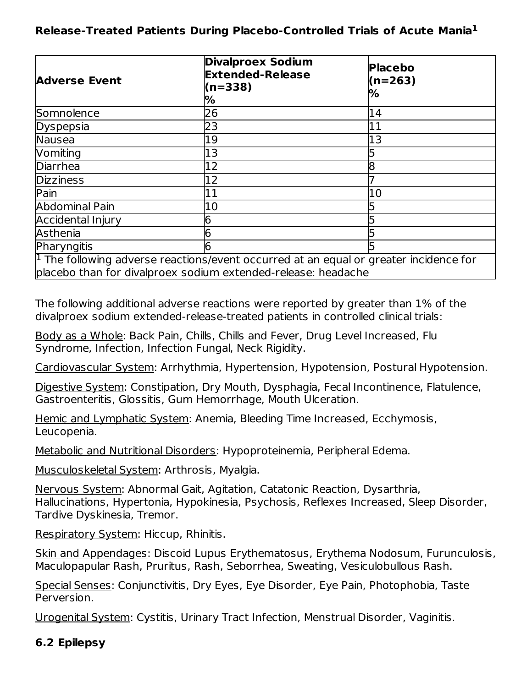### **Release-Treated Patients During Placebo-Controlled Trials of Acute Mania 1**

| <b>Adverse Event</b>     | <b>Divalproex Sodium</b><br><b>Extended-Release</b><br>(n=338)<br>℅                         | <b>Placebo</b><br>$(n=263)$<br>% |
|--------------------------|---------------------------------------------------------------------------------------------|----------------------------------|
| Somnolence               | 26                                                                                          | 14                               |
| Dyspepsia                | 23                                                                                          | 11                               |
| Nausea                   | 19                                                                                          | 13                               |
| Vomiting                 | 13                                                                                          |                                  |
| <b>Diarrhea</b>          | 12                                                                                          | 8                                |
| <b>Dizziness</b>         | 12                                                                                          |                                  |
| Pain                     | 11                                                                                          | 10                               |
| Abdominal Pain           | 10                                                                                          |                                  |
| <b>Accidental Injury</b> |                                                                                             |                                  |
| Asthenia                 |                                                                                             |                                  |
| Pharyngitis              |                                                                                             |                                  |
|                          | $\vert$ The following adverse reactions/event occurred at an equal or greater incidence for |                                  |
|                          | placebo than for divalproex sodium extended-release: headache                               |                                  |

The following additional adverse reactions were reported by greater than 1% of the divalproex sodium extended-release-treated patients in controlled clinical trials:

Body as a Whole: Back Pain, Chills, Chills and Fever, Drug Level Increased, Flu Syndrome, Infection, Infection Fungal, Neck Rigidity.

Cardiovascular System: Arrhythmia, Hypertension, Hypotension, Postural Hypotension.

Digestive System: Constipation, Dry Mouth, Dysphagia, Fecal Incontinence, Flatulence, Gastroenteritis, Glossitis, Gum Hemorrhage, Mouth Ulceration.

Hemic and Lymphatic System: Anemia, Bleeding Time Increased, Ecchymosis, Leucopenia.

Metabolic and Nutritional Disorders: Hypoproteinemia, Peripheral Edema.

Musculoskeletal System: Arthrosis, Myalgia.

Nervous System: Abnormal Gait, Agitation, Catatonic Reaction, Dysarthria, Hallucinations, Hypertonia, Hypokinesia, Psychosis, Reflexes Increased, Sleep Disorder, Tardive Dyskinesia, Tremor.

Respiratory System: Hiccup, Rhinitis.

Skin and Appendages: Discoid Lupus Erythematosus, Erythema Nodosum, Furunculosis, Maculopapular Rash, Pruritus, Rash, Seborrhea, Sweating, Vesiculobullous Rash.

Special Senses: Conjunctivitis, Dry Eyes, Eye Disorder, Eye Pain, Photophobia, Taste Perversion.

Urogenital System: Cystitis, Urinary Tract Infection, Menstrual Disorder, Vaginitis.

## **6.2 Epilepsy**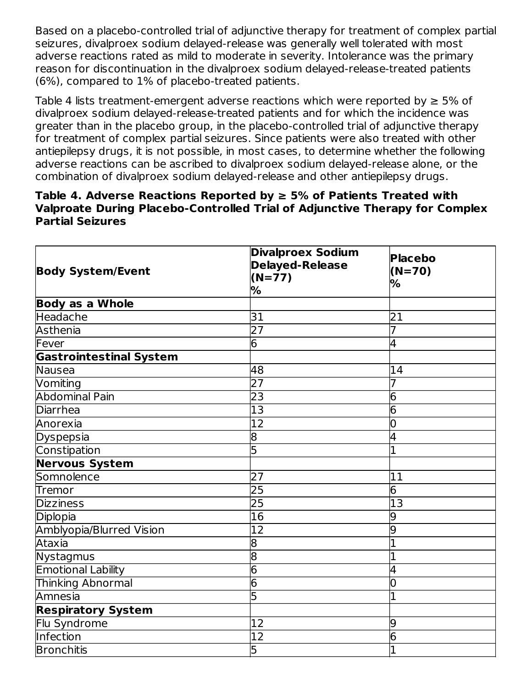Based on a placebo-controlled trial of adjunctive therapy for treatment of complex partial seizures, divalproex sodium delayed-release was generally well tolerated with most adverse reactions rated as mild to moderate in severity. Intolerance was the primary reason for discontinuation in the divalproex sodium delayed-release-treated patients (6%), compared to 1% of placebo-treated patients.

Table 4 lists treatment-emergent adverse reactions which were reported by  $\geq 5\%$  of divalproex sodium delayed-release-treated patients and for which the incidence was greater than in the placebo group, in the placebo-controlled trial of adjunctive therapy for treatment of complex partial seizures. Since patients were also treated with other antiepilepsy drugs, it is not possible, in most cases, to determine whether the following adverse reactions can be ascribed to divalproex sodium delayed-release alone, or the combination of divalproex sodium delayed-release and other antiepilepsy drugs.

#### **Table 4. Adverse Reactions Reported by ≥ 5% of Patients Treated with Valproate During Placebo-Controlled Trial of Adjunctive Therapy for Complex Partial Seizures**

| <b>Body System/Event</b>       | <b>Divalproex Sodium</b><br><b>Delayed-Release</b><br>$(N=77)$<br>% | <b>Placebo</b><br>$(N=70)$<br>% |  |
|--------------------------------|---------------------------------------------------------------------|---------------------------------|--|
| <b>Body as a Whole</b>         |                                                                     |                                 |  |
| Headache                       | 31                                                                  | 21                              |  |
| <b>Asthenia</b>                | $\overline{27}$                                                     | 7                               |  |
| Fever                          | 6                                                                   | 4                               |  |
| <b>Gastrointestinal System</b> |                                                                     |                                 |  |
| Nausea                         | 48                                                                  | 14                              |  |
| Vomiting                       | 27                                                                  |                                 |  |
| <b>Abdominal Pain</b>          | $\overline{23}$                                                     | 6                               |  |
| <b>Diarrhea</b>                | $\overline{13}$                                                     | 6                               |  |
| Anorexia                       | 12                                                                  | 0                               |  |
| Dyspepsia                      | 8                                                                   | 4                               |  |
| Constipation                   | 5                                                                   |                                 |  |
| Nervous System                 |                                                                     |                                 |  |
| Somnolence                     | 27                                                                  | 11                              |  |
| Tremor                         | 25                                                                  | 6                               |  |
| <b>Dizziness</b>               | 25                                                                  | 13                              |  |
| Diplopia                       | 16                                                                  | 9                               |  |
| Amblyopia/Blurred Vision       | $\overline{12}$                                                     | 9                               |  |
| <b>Ataxia</b>                  | 8                                                                   |                                 |  |
| Nystagmus                      | 8                                                                   |                                 |  |
| <b>Emotional Lability</b>      | 6                                                                   | 4                               |  |
| <b>Thinking Abnormal</b>       | 6                                                                   | 0                               |  |
| Amnesia                        | 5                                                                   | 1                               |  |
| <b>Respiratory System</b>      |                                                                     |                                 |  |
| Flu Syndrome                   | 12                                                                  | 9                               |  |
| Infection                      | 12                                                                  | 6                               |  |
| <b>Bronchitis</b>              | 5                                                                   |                                 |  |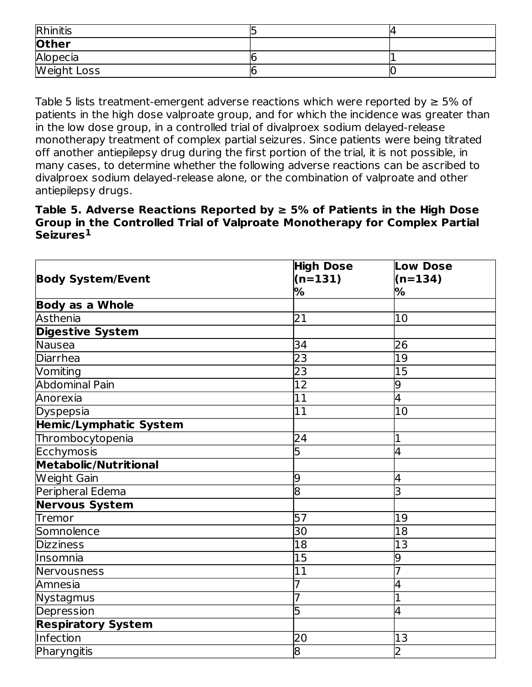| Rhinitis           |  |
|--------------------|--|
| Other              |  |
| Alopecia           |  |
| <b>Weight Loss</b> |  |

Table 5 lists treatment-emergent adverse reactions which were reported by  $\geq 5\%$  of patients in the high dose valproate group, and for which the incidence was greater than in the low dose group, in a controlled trial of divalproex sodium delayed-release monotherapy treatment of complex partial seizures. Since patients were being titrated off another antiepilepsy drug during the first portion of the trial, it is not possible, in many cases, to determine whether the following adverse reactions can be ascribed to divalproex sodium delayed-release alone, or the combination of valproate and other antiepilepsy drugs.

#### **Table 5. Adverse Reactions Reported by ≥ 5% of Patients in the High Dose Group in the Controlled Trial of Valproate Monotherapy for Complex Partial Seizures 1**

|                               | <b>High Dose</b> | <b>Low Dose</b> |  |
|-------------------------------|------------------|-----------------|--|
| <b>Body System/Event</b>      | $(n=131)$        | $(n=134)$       |  |
|                               | %                | %               |  |
| <b>Body as a Whole</b>        |                  |                 |  |
| Asthenia                      | 21               | 10              |  |
| <b>Digestive System</b>       |                  |                 |  |
| Nausea                        | 34               | 26              |  |
| <b>Diarrhea</b>               | $\overline{23}$  | 19              |  |
| Vomiting                      | $\overline{23}$  | 15              |  |
| <b>Abdominal Pain</b>         | $\overline{12}$  | 9               |  |
| Anorexia                      | 11               | 4               |  |
| Dyspepsia                     | 11               | 10              |  |
| <b>Hemic/Lymphatic System</b> |                  |                 |  |
| Thrombocytopenia              | 24               |                 |  |
| Ecchymosis                    | 5                | 4               |  |
| <b>Metabolic/Nutritional</b>  |                  |                 |  |
| Weight Gain                   | 9                | 4               |  |
| Peripheral Edema              | $\overline{8}$   | 3               |  |
| <b>Nervous System</b>         |                  |                 |  |
| Tremor                        | 57               | 19              |  |
| Somnolence                    | $\overline{30}$  | 18              |  |
| <b>Dizziness</b>              | 18               | 13              |  |
| Insomnia                      | 15               | 9               |  |
| Nervousness                   | 11               |                 |  |
| Amnesia                       | 7                | 4               |  |
| Nystagmus                     | 7                |                 |  |
| Depression                    | 5                | 4               |  |
| <b>Respiratory System</b>     |                  |                 |  |
| Infection                     | 20               | 13              |  |
| Pharyngitis                   | 8                | $\overline{2}$  |  |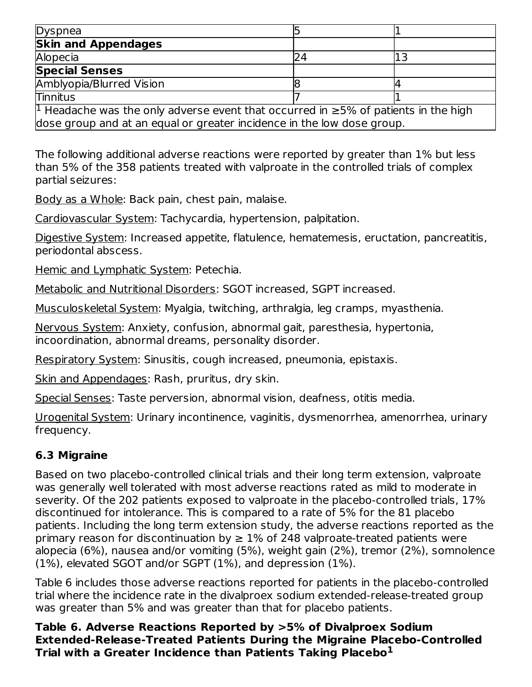| <b>Dyspnea</b>                                                                                                                                                                |  |  |  |  |
|-------------------------------------------------------------------------------------------------------------------------------------------------------------------------------|--|--|--|--|
| <b>Skin and Appendages</b>                                                                                                                                                    |  |  |  |  |
| Alopecia                                                                                                                                                                      |  |  |  |  |
| <b>Special Senses</b>                                                                                                                                                         |  |  |  |  |
| Amblyopia/Blurred Vision                                                                                                                                                      |  |  |  |  |
| <b>Tinnitus</b>                                                                                                                                                               |  |  |  |  |
| <sup>1</sup> Headache was the only adverse event that occurred in $\geq$ 5% of patients in the high<br>dose group and at an equal or greater incidence in the low dose group. |  |  |  |  |

The following additional adverse reactions were reported by greater than 1% but less than 5% of the 358 patients treated with valproate in the controlled trials of complex partial seizures:

Body as a Whole: Back pain, chest pain, malaise.

Cardiovascular System: Tachycardia, hypertension, palpitation.

Digestive System: Increased appetite, flatulence, hematemesis, eructation, pancreatitis, periodontal abscess.

Hemic and Lymphatic System: Petechia.

Metabolic and Nutritional Disorders: SGOT increased, SGPT increased.

Musculoskeletal System: Myalgia, twitching, arthralgia, leg cramps, myasthenia.

Nervous System: Anxiety, confusion, abnormal gait, paresthesia, hypertonia, incoordination, abnormal dreams, personality disorder.

Respiratory System: Sinusitis, cough increased, pneumonia, epistaxis.

Skin and Appendages: Rash, pruritus, dry skin.

Special Senses: Taste perversion, abnormal vision, deafness, otitis media.

Urogenital System: Urinary incontinence, vaginitis, dysmenorrhea, amenorrhea, urinary frequency.

# **6.3 Migraine**

Based on two placebo-controlled clinical trials and their long term extension, valproate was generally well tolerated with most adverse reactions rated as mild to moderate in severity. Of the 202 patients exposed to valproate in the placebo-controlled trials, 17% discontinued for intolerance. This is compared to a rate of 5% for the 81 placebo patients. Including the long term extension study, the adverse reactions reported as the primary reason for discontinuation by  $\geq 1\%$  of 248 valproate-treated patients were alopecia (6%), nausea and/or vomiting (5%), weight gain (2%), tremor (2%), somnolence (1%), elevated SGOT and/or SGPT (1%), and depression (1%).

Table 6 includes those adverse reactions reported for patients in the placebo-controlled trial where the incidence rate in the divalproex sodium extended-release-treated group was greater than 5% and was greater than that for placebo patients.

**Table 6. Adverse Reactions Reported by >5% of Divalproex Sodium Extended-Release-Treated Patients During the Migraine Placebo-Controlled Trial with a Greater Incidence than Patients Taking Placebo 1**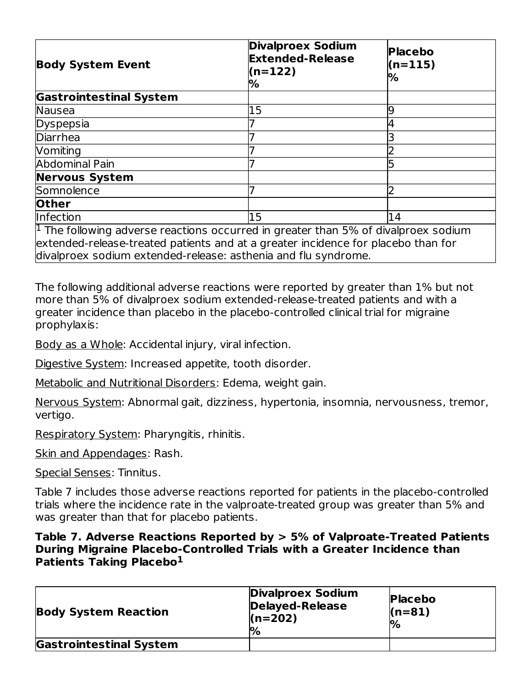| <b>Body System Event</b>                                                                                                                                                                   | <b>Divalproex Sodium</b><br><b>Extended-Release</b><br>$(n=122)$<br>% | <b>Placebo</b><br>$(n=115)$<br>% |
|--------------------------------------------------------------------------------------------------------------------------------------------------------------------------------------------|-----------------------------------------------------------------------|----------------------------------|
| <b>Gastrointestinal System</b>                                                                                                                                                             |                                                                       |                                  |
| Nausea                                                                                                                                                                                     | 15                                                                    |                                  |
| Dyspepsia                                                                                                                                                                                  |                                                                       |                                  |
| <b>Diarrhea</b>                                                                                                                                                                            |                                                                       |                                  |
| Vomiting                                                                                                                                                                                   |                                                                       |                                  |
| Abdominal Pain                                                                                                                                                                             |                                                                       |                                  |
| <b>Nervous System</b>                                                                                                                                                                      |                                                                       |                                  |
| Somnolence                                                                                                                                                                                 |                                                                       |                                  |
| <b>Other</b>                                                                                                                                                                               |                                                                       |                                  |
| Infection                                                                                                                                                                                  | 15                                                                    | 14                               |
| $\vert$ <sup>1</sup> The following adverse reactions occurred in greater than 5% of divalproex sodium<br>extended-release-treated patients and at a greater incidence for placebo than for |                                                                       |                                  |

divalproex sodium extended-release: asthenia and flu syndrome.

The following additional adverse reactions were reported by greater than 1% but not more than 5% of divalproex sodium extended-release-treated patients and with a greater incidence than placebo in the placebo-controlled clinical trial for migraine prophylaxis:

Body as a Whole: Accidental injury, viral infection.

Digestive System: Increased appetite, tooth disorder.

Metabolic and Nutritional Disorders: Edema, weight gain.

Nervous System: Abnormal gait, dizziness, hypertonia, insomnia, nervousness, tremor, vertigo.

Respiratory System: Pharyngitis, rhinitis.

Skin and Appendages: Rash.

Special Senses: Tinnitus.

Table 7 includes those adverse reactions reported for patients in the placebo-controlled trials where the incidence rate in the valproate-treated group was greater than 5% and was greater than that for placebo patients.

#### **Table 7. Adverse Reactions Reported by > 5% of Valproate-Treated Patients During Migraine Placebo-Controlled Trials with a Greater Incidence than Patients Taking Placebo 1**

| <b>Body System Reaction</b>    | <b>Divalproex Sodium</b><br><b>Delayed-Release</b><br>$(n=202)$ | <b>Placebo</b><br>$(n=81)$<br>$\frac{10}{6}$ |
|--------------------------------|-----------------------------------------------------------------|----------------------------------------------|
| <b>Gastrointestinal System</b> |                                                                 |                                              |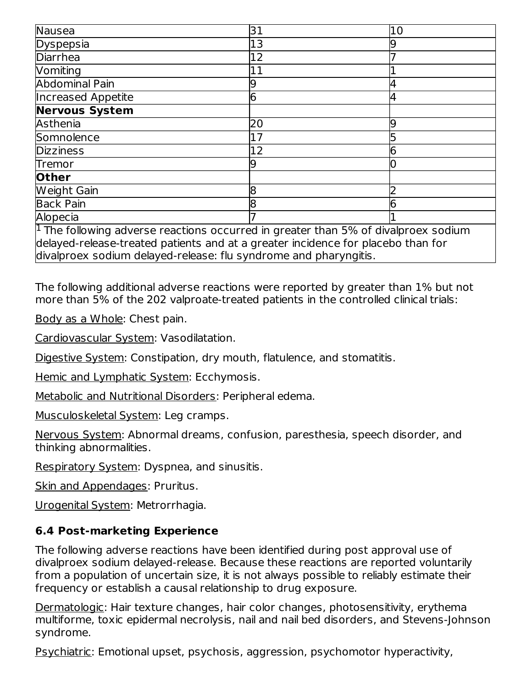| Nausea                                                                                         | 31 | 10 |  |  |  |  |
|------------------------------------------------------------------------------------------------|----|----|--|--|--|--|
| Dyspepsia                                                                                      | 13 |    |  |  |  |  |
| <b>Diarrhea</b>                                                                                | 12 |    |  |  |  |  |
| Vomiting                                                                                       | 11 |    |  |  |  |  |
| <b>Abdominal Pain</b>                                                                          |    |    |  |  |  |  |
| Increased Appetite                                                                             | h  |    |  |  |  |  |
| <b>Nervous System</b>                                                                          |    |    |  |  |  |  |
| Asthenia                                                                                       | 20 |    |  |  |  |  |
| Somnolence                                                                                     | 17 |    |  |  |  |  |
| <b>Dizziness</b>                                                                               | 12 |    |  |  |  |  |
| Tremor                                                                                         |    |    |  |  |  |  |
| <b>Other</b>                                                                                   |    |    |  |  |  |  |
| Weight Gain                                                                                    |    |    |  |  |  |  |
| <b>Back Pain</b>                                                                               |    |    |  |  |  |  |
| Alopecia                                                                                       |    |    |  |  |  |  |
| $\frac{1}{2}$ The following adverse reactions occurred in greater than 5% of divalproex sodium |    |    |  |  |  |  |
| delayed-release-treated patients and at a greater incidence for placebo than for               |    |    |  |  |  |  |

divalproex sodium delayed-release: flu syndrome and pharyngitis.

The following additional adverse reactions were reported by greater than 1% but not more than 5% of the 202 valproate-treated patients in the controlled clinical trials:

Body as a Whole: Chest pain.

Cardiovascular System: Vasodilatation.

Digestive System: Constipation, dry mouth, flatulence, and stomatitis.

Hemic and Lymphatic System: Ecchymosis.

Metabolic and Nutritional Disorders: Peripheral edema.

Musculoskeletal System: Leg cramps.

Nervous System: Abnormal dreams, confusion, paresthesia, speech disorder, and thinking abnormalities.

Respiratory System: Dyspnea, and sinusitis.

Skin and Appendages: Pruritus.

Urogenital System: Metrorrhagia.

### **6.4 Post-marketing Experience**

The following adverse reactions have been identified during post approval use of divalproex sodium delayed-release. Because these reactions are reported voluntarily from a population of uncertain size, it is not always possible to reliably estimate their frequency or establish a causal relationship to drug exposure.

Dermatologic: Hair texture changes, hair color changes, photosensitivity, erythema multiforme, toxic epidermal necrolysis, nail and nail bed disorders, and Stevens-Johnson syndrome.

Psychiatric: Emotional upset, psychosis, aggression, psychomotor hyperactivity,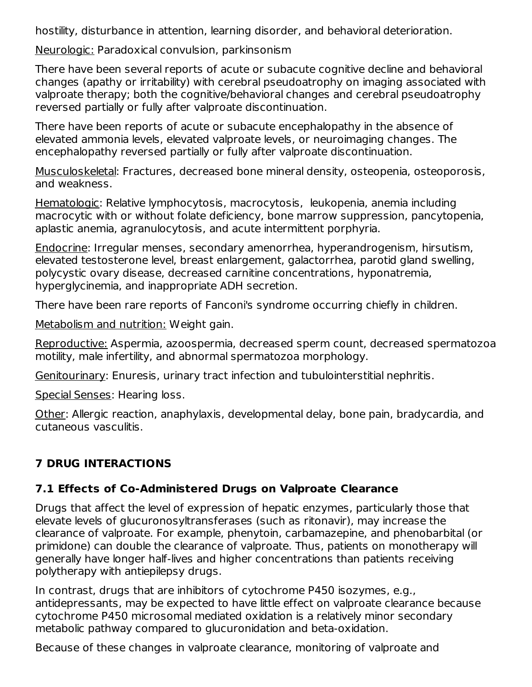hostility, disturbance in attention, learning disorder, and behavioral deterioration.

Neurologic: Paradoxical convulsion, parkinsonism

There have been several reports of acute or subacute cognitive decline and behavioral changes (apathy or irritability) with cerebral pseudoatrophy on imaging associated with valproate therapy; both the cognitive/behavioral changes and cerebral pseudoatrophy reversed partially or fully after valproate discontinuation.

There have been reports of acute or subacute encephalopathy in the absence of elevated ammonia levels, elevated valproate levels, or neuroimaging changes. The encephalopathy reversed partially or fully after valproate discontinuation.

Musculoskeletal: Fractures, decreased bone mineral density, osteopenia, osteoporosis, and weakness.

Hematologic: Relative lymphocytosis, macrocytosis, leukopenia, anemia including macrocytic with or without folate deficiency, bone marrow suppression, pancytopenia, aplastic anemia, agranulocytosis, and acute intermittent porphyria.

Endocrine: Irregular menses, secondary amenorrhea, hyperandrogenism, hirsutism, elevated testosterone level, breast enlargement, galactorrhea, parotid gland swelling, polycystic ovary disease, decreased carnitine concentrations, hyponatremia, hyperglycinemia, and inappropriate ADH secretion.

There have been rare reports of Fanconi's syndrome occurring chiefly in children.

Metabolism and nutrition: Weight gain.

Reproductive: Aspermia, azoospermia, decreased sperm count, decreased spermatozoa motility, male infertility, and abnormal spermatozoa morphology.

Genitourinary: Enuresis, urinary tract infection and tubulointerstitial nephritis.

Special Senses: Hearing loss.

Other: Allergic reaction, anaphylaxis, developmental delay, bone pain, bradycardia, and cutaneous vasculitis.

# **7 DRUG INTERACTIONS**

## **7.1 Effects of Co-Administered Drugs on Valproate Clearance**

Drugs that affect the level of expression of hepatic enzymes, particularly those that elevate levels of glucuronosyltransferases (such as ritonavir), may increase the clearance of valproate. For example, phenytoin, carbamazepine, and phenobarbital (or primidone) can double the clearance of valproate. Thus, patients on monotherapy will generally have longer half-lives and higher concentrations than patients receiving polytherapy with antiepilepsy drugs.

In contrast, drugs that are inhibitors of cytochrome P450 isozymes, e.g., antidepressants, may be expected to have little effect on valproate clearance because cytochrome P450 microsomal mediated oxidation is a relatively minor secondary metabolic pathway compared to glucuronidation and beta-oxidation.

Because of these changes in valproate clearance, monitoring of valproate and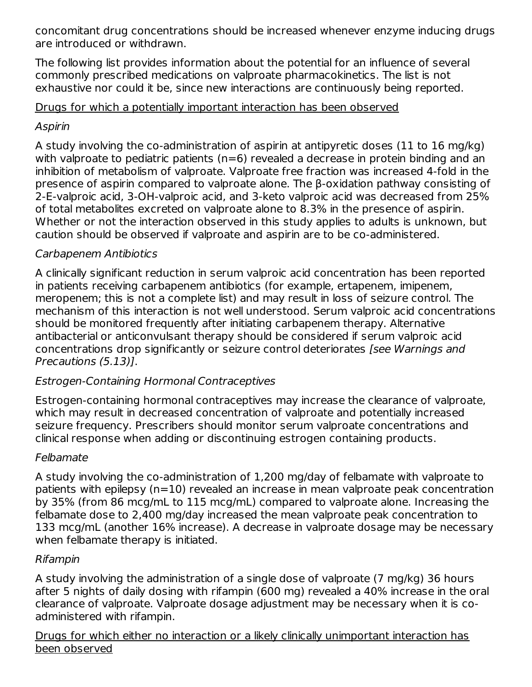concomitant drug concentrations should be increased whenever enzyme inducing drugs are introduced or withdrawn.

The following list provides information about the potential for an influence of several commonly prescribed medications on valproate pharmacokinetics. The list is not exhaustive nor could it be, since new interactions are continuously being reported.

## Drugs for which a potentially important interaction has been observed

## Aspirin

A study involving the co-administration of aspirin at antipyretic doses (11 to 16 mg/kg) with valproate to pediatric patients (n=6) revealed a decrease in protein binding and an inhibition of metabolism of valproate. Valproate free fraction was increased 4-fold in the presence of aspirin compared to valproate alone. The β-oxidation pathway consisting of 2-E-valproic acid, 3-OH-valproic acid, and 3-keto valproic acid was decreased from 25% of total metabolites excreted on valproate alone to 8.3% in the presence of aspirin. Whether or not the interaction observed in this study applies to adults is unknown, but caution should be observed if valproate and aspirin are to be co-administered.

# Carbapenem Antibiotics

A clinically significant reduction in serum valproic acid concentration has been reported in patients receiving carbapenem antibiotics (for example, ertapenem, imipenem, meropenem; this is not a complete list) and may result in loss of seizure control. The mechanism of this interaction is not well understood. Serum valproic acid concentrations should be monitored frequently after initiating carbapenem therapy. Alternative antibacterial or anticonvulsant therapy should be considered if serum valproic acid concentrations drop significantly or seizure control deteriorates [see Warnings and Precautions (5.13)].

## Estrogen-Containing Hormonal Contraceptives

Estrogen-containing hormonal contraceptives may increase the clearance of valproate, which may result in decreased concentration of valproate and potentially increased seizure frequency. Prescribers should monitor serum valproate concentrations and clinical response when adding or discontinuing estrogen containing products.

## Felbamate

A study involving the co-administration of 1,200 mg/day of felbamate with valproate to patients with epilepsy (n=10) revealed an increase in mean valproate peak concentration by 35% (from 86 mcg/mL to 115 mcg/mL) compared to valproate alone. Increasing the felbamate dose to 2,400 mg/day increased the mean valproate peak concentration to 133 mcg/mL (another 16% increase). A decrease in valproate dosage may be necessary when felbamate therapy is initiated.

# Rifampin

A study involving the administration of a single dose of valproate (7 mg/kg) 36 hours after 5 nights of daily dosing with rifampin (600 mg) revealed a 40% increase in the oral clearance of valproate. Valproate dosage adjustment may be necessary when it is coadministered with rifampin.

Drugs for which either no interaction or a likely clinically unimportant interaction has been observed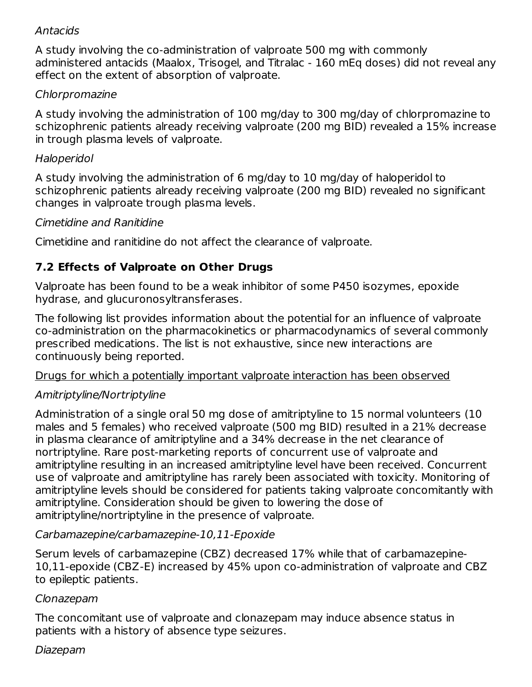## Antacids

A study involving the co-administration of valproate 500 mg with commonly administered antacids (Maalox, Trisogel, and Titralac - 160 mEq doses) did not reveal any effect on the extent of absorption of valproate.

### Chlorpromazine

A study involving the administration of 100 mg/day to 300 mg/day of chlorpromazine to schizophrenic patients already receiving valproate (200 mg BID) revealed a 15% increase in trough plasma levels of valproate.

### Haloperidol

A study involving the administration of 6 mg/day to 10 mg/day of haloperidol to schizophrenic patients already receiving valproate (200 mg BID) revealed no significant changes in valproate trough plasma levels.

### Cimetidine and Ranitidine

Cimetidine and ranitidine do not affect the clearance of valproate.

## **7.2 Effects of Valproate on Other Drugs**

Valproate has been found to be a weak inhibitor of some P450 isozymes, epoxide hydrase, and glucuronosyltransferases.

The following list provides information about the potential for an influence of valproate co-administration on the pharmacokinetics or pharmacodynamics of several commonly prescribed medications. The list is not exhaustive, since new interactions are continuously being reported.

## Drugs for which a potentially important valproate interaction has been observed

## Amitriptyline/Nortriptyline

Administration of a single oral 50 mg dose of amitriptyline to 15 normal volunteers (10 males and 5 females) who received valproate (500 mg BID) resulted in a 21% decrease in plasma clearance of amitriptyline and a 34% decrease in the net clearance of nortriptyline. Rare post-marketing reports of concurrent use of valproate and amitriptyline resulting in an increased amitriptyline level have been received. Concurrent use of valproate and amitriptyline has rarely been associated with toxicity. Monitoring of amitriptyline levels should be considered for patients taking valproate concomitantly with amitriptyline. Consideration should be given to lowering the dose of amitriptyline/nortriptyline in the presence of valproate.

## Carbamazepine/carbamazepine-10,11-Epoxide

Serum levels of carbamazepine (CBZ) decreased 17% while that of carbamazepine-10,11-epoxide (CBZ-E) increased by 45% upon co-administration of valproate and CBZ to epileptic patients.

## Clonazepam

The concomitant use of valproate and clonazepam may induce absence status in patients with a history of absence type seizures.

## Diazepam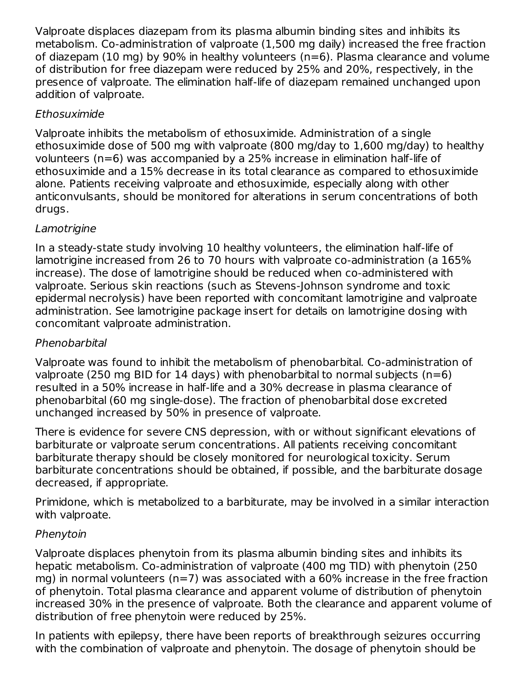Valproate displaces diazepam from its plasma albumin binding sites and inhibits its metabolism. Co-administration of valproate (1,500 mg daily) increased the free fraction of diazepam (10 mg) by 90% in healthy volunteers ( $n=6$ ). Plasma clearance and volume of distribution for free diazepam were reduced by 25% and 20%, respectively, in the presence of valproate. The elimination half-life of diazepam remained unchanged upon addition of valproate.

## Ethosuximide

Valproate inhibits the metabolism of ethosuximide. Administration of a single ethosuximide dose of 500 mg with valproate (800 mg/day to 1,600 mg/day) to healthy volunteers (n=6) was accompanied by a 25% increase in elimination half-life of ethosuximide and a 15% decrease in its total clearance as compared to ethosuximide alone. Patients receiving valproate and ethosuximide, especially along with other anticonvulsants, should be monitored for alterations in serum concentrations of both drugs.

## **Lamotrigine**

In a steady-state study involving 10 healthy volunteers, the elimination half-life of lamotrigine increased from 26 to 70 hours with valproate co-administration (a 165% increase). The dose of lamotrigine should be reduced when co-administered with valproate. Serious skin reactions (such as Stevens-Johnson syndrome and toxic epidermal necrolysis) have been reported with concomitant lamotrigine and valproate administration. See lamotrigine package insert for details on lamotrigine dosing with concomitant valproate administration.

### Phenobarbital

Valproate was found to inhibit the metabolism of phenobarbital. Co-administration of valproate (250 mg BID for 14 days) with phenobarbital to normal subjects  $(n=6)$ resulted in a 50% increase in half-life and a 30% decrease in plasma clearance of phenobarbital (60 mg single-dose). The fraction of phenobarbital dose excreted unchanged increased by 50% in presence of valproate.

There is evidence for severe CNS depression, with or without significant elevations of barbiturate or valproate serum concentrations. All patients receiving concomitant barbiturate therapy should be closely monitored for neurological toxicity. Serum barbiturate concentrations should be obtained, if possible, and the barbiturate dosage decreased, if appropriate.

Primidone, which is metabolized to a barbiturate, may be involved in a similar interaction with valproate.

## Phenytoin

Valproate displaces phenytoin from its plasma albumin binding sites and inhibits its hepatic metabolism. Co-administration of valproate (400 mg TID) with phenytoin (250 mg) in normal volunteers ( $n=7$ ) was associated with a 60% increase in the free fraction of phenytoin. Total plasma clearance and apparent volume of distribution of phenytoin increased 30% in the presence of valproate. Both the clearance and apparent volume of distribution of free phenytoin were reduced by 25%.

In patients with epilepsy, there have been reports of breakthrough seizures occurring with the combination of valproate and phenytoin. The dosage of phenytoin should be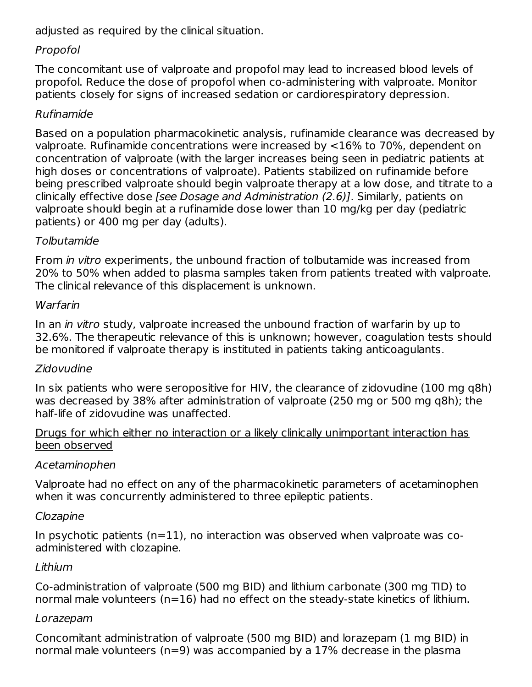adjusted as required by the clinical situation.

## Propofol

The concomitant use of valproate and propofol may lead to increased blood levels of propofol. Reduce the dose of propofol when co-administering with valproate. Monitor patients closely for signs of increased sedation or cardiorespiratory depression.

### Rufinamide

Based on a population pharmacokinetic analysis, rufinamide clearance was decreased by valproate. Rufinamide concentrations were increased by <16% to 70%, dependent on concentration of valproate (with the larger increases being seen in pediatric patients at high doses or concentrations of valproate). Patients stabilized on rufinamide before being prescribed valproate should begin valproate therapy at a low dose, and titrate to a clinically effective dose [see Dosage and Administration (2.6)]. Similarly, patients on valproate should begin at a rufinamide dose lower than 10 mg/kg per day (pediatric patients) or 400 mg per day (adults).

### Tolbutamide

From in vitro experiments, the unbound fraction of tolbutamide was increased from 20% to 50% when added to plasma samples taken from patients treated with valproate. The clinical relevance of this displacement is unknown.

### Warfarin

In an *in vitro* study, valproate increased the unbound fraction of warfarin by up to 32.6%. The therapeutic relevance of this is unknown; however, coagulation tests should be monitored if valproate therapy is instituted in patients taking anticoagulants.

## Zidovudine

In six patients who were seropositive for HIV, the clearance of zidovudine (100 mg q8h) was decreased by 38% after administration of valproate (250 mg or 500 mg q8h); the half-life of zidovudine was unaffected.

### Drugs for which either no interaction or a likely clinically unimportant interaction has been observed

### Acetaminophen

Valproate had no effect on any of the pharmacokinetic parameters of acetaminophen when it was concurrently administered to three epileptic patients.

## Clozapine

In psychotic patients  $(n=11)$ , no interaction was observed when valproate was coadministered with clozapine.

### Lithium

Co-administration of valproate (500 mg BID) and lithium carbonate (300 mg TID) to normal male volunteers (n=16) had no effect on the steady-state kinetics of lithium.

### Lorazepam

Concomitant administration of valproate (500 mg BID) and lorazepam (1 mg BID) in normal male volunteers (n=9) was accompanied by a 17% decrease in the plasma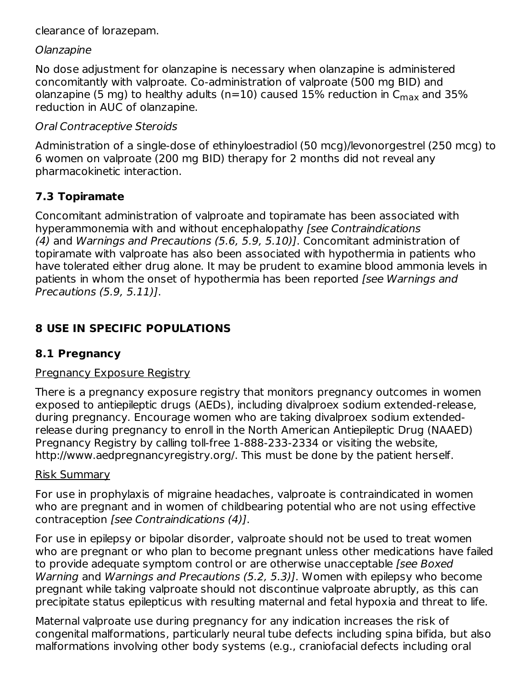clearance of lorazepam.

### Olanzapine

No dose adjustment for olanzapine is necessary when olanzapine is administered concomitantly with valproate. Co-administration of valproate (500 mg BID) and olanzapine (5 mg) to healthy adults (n=10) caused 15% reduction in C $_{\sf max}$  and 35% reduction in AUC of olanzapine.

### Oral Contraceptive Steroids

Administration of a single-dose of ethinyloestradiol (50 mcg)/levonorgestrel (250 mcg) to 6 women on valproate (200 mg BID) therapy for 2 months did not reveal any pharmacokinetic interaction.

## **7.3 Topiramate**

Concomitant administration of valproate and topiramate has been associated with hyperammonemia with and without encephalopathy [see Contraindications] (4) and Warnings and Precautions (5.6, 5.9, 5.10)]. Concomitant administration of topiramate with valproate has also been associated with hypothermia in patients who have tolerated either drug alone. It may be prudent to examine blood ammonia levels in patients in whom the onset of hypothermia has been reported [see Warnings and Precautions (5.9, 5.11)].

## **8 USE IN SPECIFIC POPULATIONS**

## **8.1 Pregnancy**

### Pregnancy Exposure Registry

There is a pregnancy exposure registry that monitors pregnancy outcomes in women exposed to antiepileptic drugs (AEDs), including divalproex sodium extended-release, during pregnancy. Encourage women who are taking divalproex sodium extendedrelease during pregnancy to enroll in the North American Antiepileptic Drug (NAAED) Pregnancy Registry by calling toll-free 1-888-233-2334 or visiting the website, http://www.aedpregnancyregistry.org/. This must be done by the patient herself.

### Risk Summary

For use in prophylaxis of migraine headaches, valproate is contraindicated in women who are pregnant and in women of childbearing potential who are not using effective contraception [see Contraindications (4)].

For use in epilepsy or bipolar disorder, valproate should not be used to treat women who are pregnant or who plan to become pregnant unless other medications have failed to provide adequate symptom control or are otherwise unacceptable [see Boxed] Warning and Warnings and Precautions (5.2, 5.3)]. Women with epilepsy who become pregnant while taking valproate should not discontinue valproate abruptly, as this can precipitate status epilepticus with resulting maternal and fetal hypoxia and threat to life.

Maternal valproate use during pregnancy for any indication increases the risk of congenital malformations, particularly neural tube defects including spina bifida, but also malformations involving other body systems (e.g., craniofacial defects including oral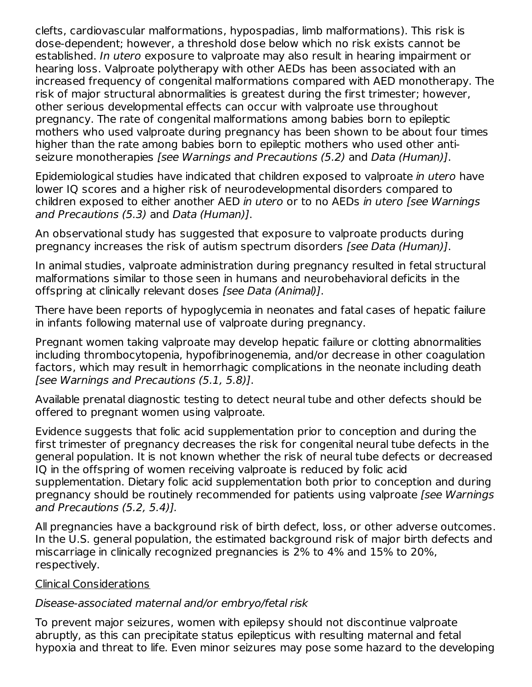clefts, cardiovascular malformations, hypospadias, limb malformations). This risk is dose-dependent; however, a threshold dose below which no risk exists cannot be established. In utero exposure to valproate may also result in hearing impairment or hearing loss. Valproate polytherapy with other AEDs has been associated with an increased frequency of congenital malformations compared with AED monotherapy. The risk of major structural abnormalities is greatest during the first trimester; however, other serious developmental effects can occur with valproate use throughout pregnancy. The rate of congenital malformations among babies born to epileptic mothers who used valproate during pregnancy has been shown to be about four times higher than the rate among babies born to epileptic mothers who used other antiseizure monotherapies [see Warnings and Precautions (5.2) and Data (Human)].

Epidemiological studies have indicated that children exposed to valproate in utero have lower IQ scores and a higher risk of neurodevelopmental disorders compared to children exposed to either another AED in utero or to no AEDs in utero [see Warnings and Precautions (5.3) and Data (Human)].

An observational study has suggested that exposure to valproate products during pregnancy increases the risk of autism spectrum disorders [see Data (Human)].

In animal studies, valproate administration during pregnancy resulted in fetal structural malformations similar to those seen in humans and neurobehavioral deficits in the offspring at clinically relevant doses [see Data (Animal)].

There have been reports of hypoglycemia in neonates and fatal cases of hepatic failure in infants following maternal use of valproate during pregnancy.

Pregnant women taking valproate may develop hepatic failure or clotting abnormalities including thrombocytopenia, hypofibrinogenemia, and/or decrease in other coagulation factors, which may result in hemorrhagic complications in the neonate including death [see Warnings and Precautions (5.1, 5.8)].

Available prenatal diagnostic testing to detect neural tube and other defects should be offered to pregnant women using valproate.

Evidence suggests that folic acid supplementation prior to conception and during the first trimester of pregnancy decreases the risk for congenital neural tube defects in the general population. It is not known whether the risk of neural tube defects or decreased IQ in the offspring of women receiving valproate is reduced by folic acid supplementation. Dietary folic acid supplementation both prior to conception and during pregnancy should be routinely recommended for patients using valproate [see Warnings and Precautions (5.2, 5.4)].

All pregnancies have a background risk of birth defect, loss, or other adverse outcomes. In the U.S. general population, the estimated background risk of major birth defects and miscarriage in clinically recognized pregnancies is 2% to 4% and 15% to 20%, respectively.

### Clinical Considerations

### Disease-associated maternal and/or embryo/fetal risk

To prevent major seizures, women with epilepsy should not discontinue valproate abruptly, as this can precipitate status epilepticus with resulting maternal and fetal hypoxia and threat to life. Even minor seizures may pose some hazard to the developing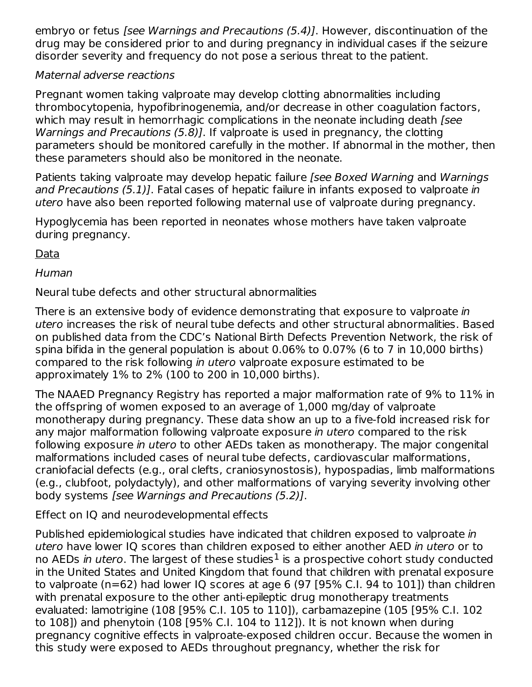embryo or fetus [see Warnings and Precautions (5.4)]. However, discontinuation of the drug may be considered prior to and during pregnancy in individual cases if the seizure disorder severity and frequency do not pose a serious threat to the patient.

## Maternal adverse reactions

Pregnant women taking valproate may develop clotting abnormalities including thrombocytopenia, hypofibrinogenemia, and/or decrease in other coagulation factors, which may result in hemorrhagic complications in the neonate including death *[see*] Warnings and Precautions (5.8)]. If valproate is used in pregnancy, the clotting parameters should be monitored carefully in the mother. If abnormal in the mother, then these parameters should also be monitored in the neonate.

Patients taking valproate may develop hepatic failure (see Boxed Warning and Warnings and Precautions (5.1)]. Fatal cases of hepatic failure in infants exposed to valproate in utero have also been reported following maternal use of valproate during pregnancy.

Hypoglycemia has been reported in neonates whose mothers have taken valproate during pregnancy.

Data

Human

Neural tube defects and other structural abnormalities

There is an extensive body of evidence demonstrating that exposure to valproate in utero increases the risk of neural tube defects and other structural abnormalities. Based on published data from the CDC's National Birth Defects Prevention Network, the risk of spina bifida in the general population is about 0.06% to 0.07% (6 to 7 in 10,000 births) compared to the risk following in utero valproate exposure estimated to be approximately 1% to 2% (100 to 200 in 10,000 births).

The NAAED Pregnancy Registry has reported a major malformation rate of 9% to 11% in the offspring of women exposed to an average of 1,000 mg/day of valproate monotherapy during pregnancy. These data show an up to a five-fold increased risk for any major malformation following valproate exposure in utero compared to the risk following exposure in utero to other AEDs taken as monotherapy. The major congenital malformations included cases of neural tube defects, cardiovascular malformations, craniofacial defects (e.g., oral clefts, craniosynostosis), hypospadias, limb malformations (e.g., clubfoot, polydactyly), and other malformations of varying severity involving other body systems [see Warnings and Precautions (5.2)].

## Effect on IQ and neurodevelopmental effects

Published epidemiological studies have indicated that children exposed to valproate in utero have lower IQ scores than children exposed to either another AED in utero or to no AEDs *in utero*. The largest of these studies $^1$  is a prospective cohort study conducted in the United States and United Kingdom that found that children with prenatal exposure to valproate (n=62) had lower IQ scores at age 6 (97 [95% C.I. 94 to 101]) than children with prenatal exposure to the other anti-epileptic drug monotherapy treatments evaluated: lamotrigine (108 [95% C.I. 105 to 110]), carbamazepine (105 [95% C.I. 102 to 108]) and phenytoin (108 [95% C.I. 104 to 112]). It is not known when during pregnancy cognitive effects in valproate-exposed children occur. Because the women in this study were exposed to AEDs throughout pregnancy, whether the risk for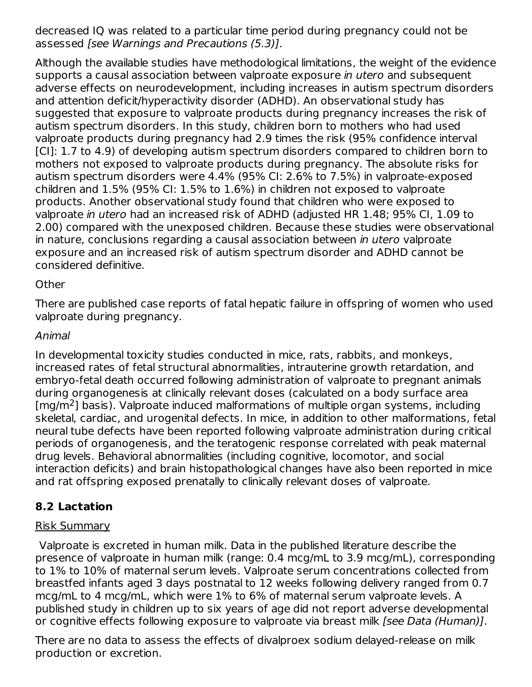decreased IQ was related to a particular time period during pregnancy could not be assessed [see Warnings and Precautions (5.3)].

Although the available studies have methodological limitations, the weight of the evidence supports a causal association between valproate exposure in utero and subsequent adverse effects on neurodevelopment, including increases in autism spectrum disorders and attention deficit/hyperactivity disorder (ADHD). An observational study has suggested that exposure to valproate products during pregnancy increases the risk of autism spectrum disorders. In this study, children born to mothers who had used valproate products during pregnancy had 2.9 times the risk (95% confidence interval [CI]: 1.7 to 4.9) of developing autism spectrum disorders compared to children born to mothers not exposed to valproate products during pregnancy. The absolute risks for autism spectrum disorders were 4.4% (95% CI: 2.6% to 7.5%) in valproate-exposed children and 1.5% (95% CI: 1.5% to 1.6%) in children not exposed to valproate products. Another observational study found that children who were exposed to valproate in utero had an increased risk of ADHD (adjusted HR 1.48; 95% CI, 1.09 to 2.00) compared with the unexposed children. Because these studies were observational in nature, conclusions regarding a causal association between in utero valproate exposure and an increased risk of autism spectrum disorder and ADHD cannot be considered definitive.

### **Other**

There are published case reports of fatal hepatic failure in offspring of women who used valproate during pregnancy.

### Animal

In developmental toxicity studies conducted in mice, rats, rabbits, and monkeys, increased rates of fetal structural abnormalities, intrauterine growth retardation, and embryo-fetal death occurred following administration of valproate to pregnant animals during organogenesis at clinically relevant doses (calculated on a body surface area  $[mg/m<sup>2</sup>]$  basis). Valproate induced malformations of multiple organ systems, including skeletal, cardiac, and urogenital defects. In mice, in addition to other malformations, fetal neural tube defects have been reported following valproate administration during critical periods of organogenesis, and the teratogenic response correlated with peak maternal drug levels. Behavioral abnormalities (including cognitive, locomotor, and social interaction deficits) and brain histopathological changes have also been reported in mice and rat offspring exposed prenatally to clinically relevant doses of valproate.

## **8.2 Lactation**

### Risk Summary

Valproate is excreted in human milk. Data in the published literature describe the presence of valproate in human milk (range: 0.4 mcg/mL to 3.9 mcg/mL), corresponding to 1% to 10% of maternal serum levels. Valproate serum concentrations collected from breastfed infants aged 3 days postnatal to 12 weeks following delivery ranged from 0.7 mcg/mL to 4 mcg/mL, which were 1% to 6% of maternal serum valproate levels. A published study in children up to six years of age did not report adverse developmental or cognitive effects following exposure to valproate via breast milk [see Data (Human)].

There are no data to assess the effects of divalproex sodium delayed-release on milk production or excretion.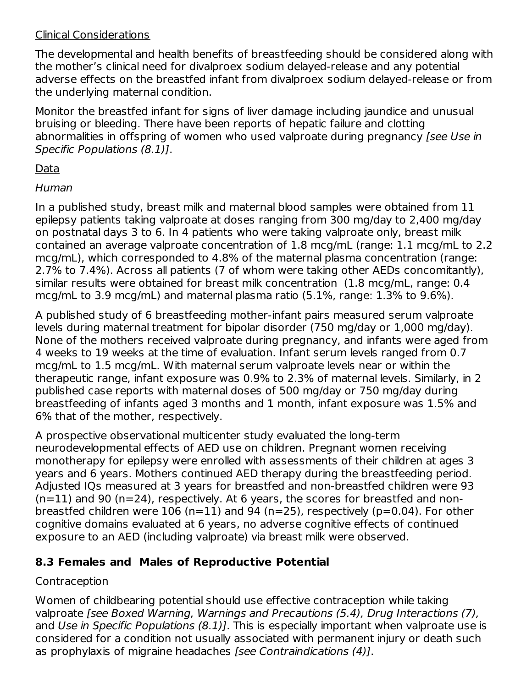### Clinical Considerations

The developmental and health benefits of breastfeeding should be considered along with the mother's clinical need for divalproex sodium delayed-release and any potential adverse effects on the breastfed infant from divalproex sodium delayed-release or from the underlying maternal condition.

Monitor the breastfed infant for signs of liver damage including jaundice and unusual bruising or bleeding. There have been reports of hepatic failure and clotting abnormalities in offspring of women who used valproate during pregnancy [see Use in Specific Populations (8.1)].

### Data

### Human

In a published study, breast milk and maternal blood samples were obtained from 11 epilepsy patients taking valproate at doses ranging from 300 mg/day to 2,400 mg/day on postnatal days 3 to 6. In 4 patients who were taking valproate only, breast milk contained an average valproate concentration of 1.8 mcg/mL (range: 1.1 mcg/mL to 2.2 mcg/mL), which corresponded to 4.8% of the maternal plasma concentration (range: 2.7% to 7.4%). Across all patients (7 of whom were taking other AEDs concomitantly), similar results were obtained for breast milk concentration (1.8 mcg/mL, range: 0.4 mcg/mL to 3.9 mcg/mL) and maternal plasma ratio (5.1%, range: 1.3% to 9.6%).

A published study of 6 breastfeeding mother-infant pairs measured serum valproate levels during maternal treatment for bipolar disorder (750 mg/day or 1,000 mg/day). None of the mothers received valproate during pregnancy, and infants were aged from 4 weeks to 19 weeks at the time of evaluation. Infant serum levels ranged from 0.7 mcg/mL to 1.5 mcg/mL. With maternal serum valproate levels near or within the therapeutic range, infant exposure was 0.9% to 2.3% of maternal levels. Similarly, in 2 published case reports with maternal doses of 500 mg/day or 750 mg/day during breastfeeding of infants aged 3 months and 1 month, infant exposure was 1.5% and 6% that of the mother, respectively.

A prospective observational multicenter study evaluated the long-term neurodevelopmental effects of AED use on children. Pregnant women receiving monotherapy for epilepsy were enrolled with assessments of their children at ages 3 years and 6 years. Mothers continued AED therapy during the breastfeeding period. Adjusted IQs measured at 3 years for breastfed and non-breastfed children were 93  $(n=11)$  and 90  $(n=24)$ , respectively. At 6 years, the scores for breastfed and nonbreastfed children were 106 (n=11) and 94 (n=25), respectively (p=0.04). For other cognitive domains evaluated at 6 years, no adverse cognitive effects of continued exposure to an AED (including valproate) via breast milk were observed.

## **8.3 Females and Males of Reproductive Potential**

## Contraception

Women of childbearing potential should use effective contraception while taking valproate [see Boxed Warning, Warnings and Precautions (5.4), Drug Interactions (7), and Use in Specific Populations (8.1). This is especially important when valproate use is considered for a condition not usually associated with permanent injury or death such as prophylaxis of migraine headaches [see Contraindications (4)].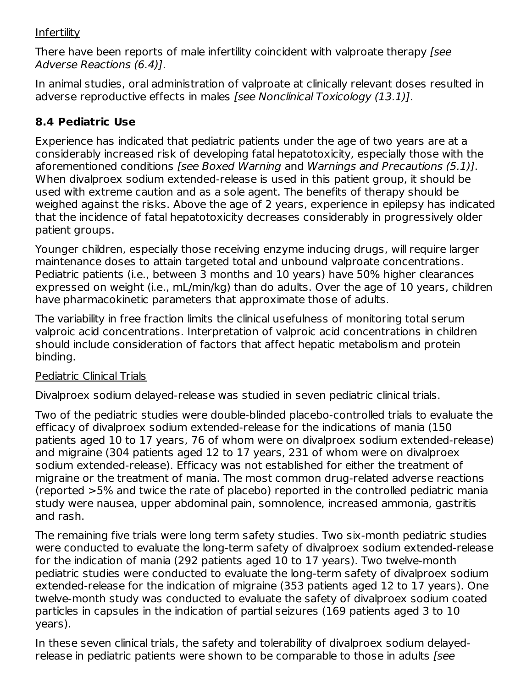## **Infertility**

There have been reports of male infertility coincident with valproate therapy *[see*] Adverse Reactions (6.4)].

In animal studies, oral administration of valproate at clinically relevant doses resulted in adverse reproductive effects in males [see Nonclinical Toxicology (13.1)].

## **8.4 Pediatric Use**

Experience has indicated that pediatric patients under the age of two years are at a considerably increased risk of developing fatal hepatotoxicity, especially those with the aforementioned conditions [see Boxed Warning and Warnings and Precautions (5.1)]. When divalproex sodium extended-release is used in this patient group, it should be used with extreme caution and as a sole agent. The benefits of therapy should be weighed against the risks. Above the age of 2 years, experience in epilepsy has indicated that the incidence of fatal hepatotoxicity decreases considerably in progressively older patient groups.

Younger children, especially those receiving enzyme inducing drugs, will require larger maintenance doses to attain targeted total and unbound valproate concentrations. Pediatric patients (i.e., between 3 months and 10 years) have 50% higher clearances expressed on weight (i.e., mL/min/kg) than do adults. Over the age of 10 years, children have pharmacokinetic parameters that approximate those of adults.

The variability in free fraction limits the clinical usefulness of monitoring total serum valproic acid concentrations. Interpretation of valproic acid concentrations in children should include consideration of factors that affect hepatic metabolism and protein binding.

## Pediatric Clinical Trials

Divalproex sodium delayed-release was studied in seven pediatric clinical trials.

Two of the pediatric studies were double-blinded placebo-controlled trials to evaluate the efficacy of divalproex sodium extended-release for the indications of mania (150 patients aged 10 to 17 years, 76 of whom were on divalproex sodium extended-release) and migraine (304 patients aged 12 to 17 years, 231 of whom were on divalproex sodium extended-release). Efficacy was not established for either the treatment of migraine or the treatment of mania. The most common drug-related adverse reactions (reported >5% and twice the rate of placebo) reported in the controlled pediatric mania study were nausea, upper abdominal pain, somnolence, increased ammonia, gastritis and rash.

The remaining five trials were long term safety studies. Two six-month pediatric studies were conducted to evaluate the long-term safety of divalproex sodium extended-release for the indication of mania (292 patients aged 10 to 17 years). Two twelve-month pediatric studies were conducted to evaluate the long-term safety of divalproex sodium extended-release for the indication of migraine (353 patients aged 12 to 17 years). One twelve-month study was conducted to evaluate the safety of divalproex sodium coated particles in capsules in the indication of partial seizures (169 patients aged 3 to 10 years).

In these seven clinical trials, the safety and tolerability of divalproex sodium delayedrelease in pediatric patients were shown to be comparable to those in adults [see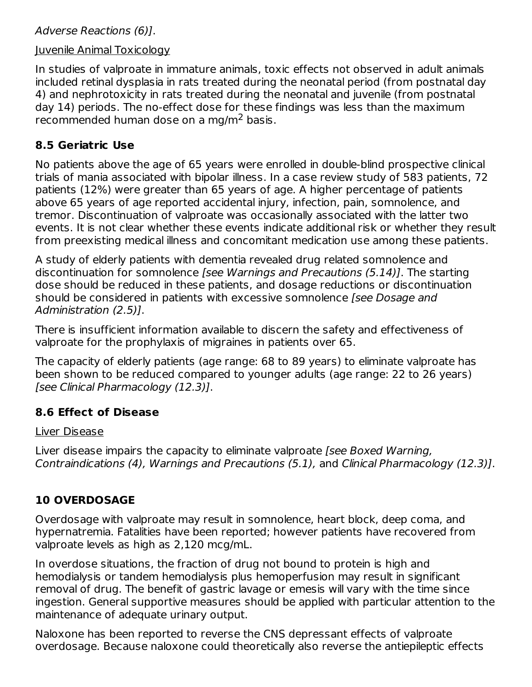Adverse Reactions (6)].

### Juvenile Animal Toxicology

In studies of valproate in immature animals, toxic effects not observed in adult animals included retinal dysplasia in rats treated during the neonatal period (from postnatal day 4) and nephrotoxicity in rats treated during the neonatal and juvenile (from postnatal day 14) periods. The no-effect dose for these findings was less than the maximum recommended human dose on a mg/m<sup>2</sup> basis.

## **8.5 Geriatric Use**

No patients above the age of 65 years were enrolled in double-blind prospective clinical trials of mania associated with bipolar illness. In a case review study of 583 patients, 72 patients (12%) were greater than 65 years of age. A higher percentage of patients above 65 years of age reported accidental injury, infection, pain, somnolence, and tremor. Discontinuation of valproate was occasionally associated with the latter two events. It is not clear whether these events indicate additional risk or whether they result from preexisting medical illness and concomitant medication use among these patients.

A study of elderly patients with dementia revealed drug related somnolence and discontinuation for somnolence [see Warnings and Precautions (5.14)]. The starting dose should be reduced in these patients, and dosage reductions or discontinuation should be considered in patients with excessive somnolence [see Dosage and Administration (2.5)].

There is insufficient information available to discern the safety and effectiveness of valproate for the prophylaxis of migraines in patients over 65.

The capacity of elderly patients (age range: 68 to 89 years) to eliminate valproate has been shown to be reduced compared to younger adults (age range: 22 to 26 years) [see Clinical Pharmacology (12.3)].

## **8.6 Effect of Disease**

### Liver Disease

Liver disease impairs the capacity to eliminate valproate (see Boxed Warning, Contraindications (4), Warnings and Precautions (5.1), and Clinical Pharmacology (12.3)].

## **10 OVERDOSAGE**

Overdosage with valproate may result in somnolence, heart block, deep coma, and hypernatremia. Fatalities have been reported; however patients have recovered from valproate levels as high as 2,120 mcg/mL.

In overdose situations, the fraction of drug not bound to protein is high and hemodialysis or tandem hemodialysis plus hemoperfusion may result in significant removal of drug. The benefit of gastric lavage or emesis will vary with the time since ingestion. General supportive measures should be applied with particular attention to the maintenance of adequate urinary output.

Naloxone has been reported to reverse the CNS depressant effects of valproate overdosage. Because naloxone could theoretically also reverse the antiepileptic effects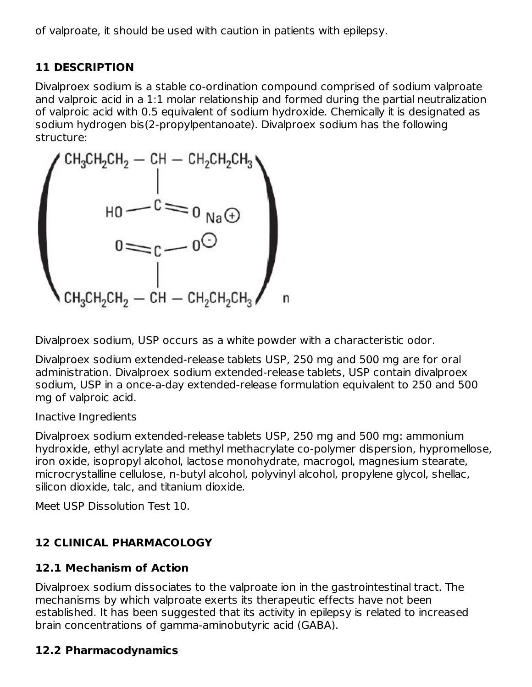of valproate, it should be used with caution in patients with epilepsy.

## **11 DESCRIPTION**

Divalproex sodium is a stable co-ordination compound comprised of sodium valproate and valproic acid in a 1:1 molar relationship and formed during the partial neutralization of valproic acid with 0.5 equivalent of sodium hydroxide. Chemically it is designated as sodium hydrogen bis(2-propylpentanoate). Divalproex sodium has the following structure:



Divalproex sodium, USP occurs as a white powder with a characteristic odor.

Divalproex sodium extended-release tablets USP, 250 mg and 500 mg are for oral administration. Divalproex sodium extended-release tablets, USP contain divalproex sodium, USP in a once-a-day extended-release formulation equivalent to 250 and 500 mg of valproic acid.

Inactive Ingredients

Divalproex sodium extended-release tablets USP, 250 mg and 500 mg: ammonium hydroxide, ethyl acrylate and methyl methacrylate co-polymer dispersion, hypromellose, iron oxide, isopropyl alcohol, lactose monohydrate, macrogol, magnesium stearate, microcrystalline cellulose, n-butyl alcohol, polyvinyl alcohol, propylene glycol, shellac, silicon dioxide, talc, and titanium dioxide.

Meet USP Dissolution Test 10.

# **12 CLINICAL PHARMACOLOGY**

## **12.1 Mechanism of Action**

Divalproex sodium dissociates to the valproate ion in the gastrointestinal tract. The mechanisms by which valproate exerts its therapeutic effects have not been established. It has been suggested that its activity in epilepsy is related to increased brain concentrations of gamma-aminobutyric acid (GABA).

## **12.2 Pharmacodynamics**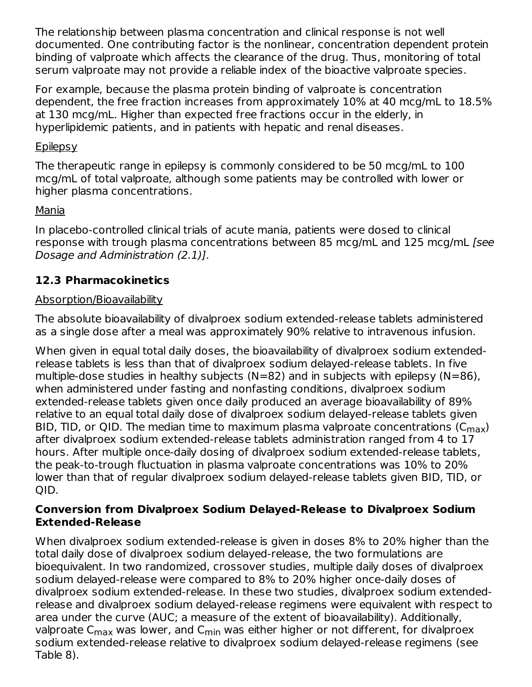The relationship between plasma concentration and clinical response is not well documented. One contributing factor is the nonlinear, concentration dependent protein binding of valproate which affects the clearance of the drug. Thus, monitoring of total serum valproate may not provide a reliable index of the bioactive valproate species.

For example, because the plasma protein binding of valproate is concentration dependent, the free fraction increases from approximately 10% at 40 mcg/mL to 18.5% at 130 mcg/mL. Higher than expected free fractions occur in the elderly, in hyperlipidemic patients, and in patients with hepatic and renal diseases.

#### **Epilepsy**

The therapeutic range in epilepsy is commonly considered to be 50 mcg/mL to 100 mcg/mL of total valproate, although some patients may be controlled with lower or higher plasma concentrations.

### Mania

In placebo-controlled clinical trials of acute mania, patients were dosed to clinical response with trough plasma concentrations between 85 mcg/mL and 125 mcg/mL [see Dosage and Administration (2.1)].

## **12.3 Pharmacokinetics**

### Absorption/Bioavailability

The absolute bioavailability of divalproex sodium extended-release tablets administered as a single dose after a meal was approximately 90% relative to intravenous infusion.

When given in equal total daily doses, the bioavailability of divalproex sodium extendedrelease tablets is less than that of divalproex sodium delayed-release tablets. In five multiple-dose studies in healthy subjects ( $N=82$ ) and in subjects with epilepsy ( $N=86$ ), when administered under fasting and nonfasting conditions, divalproex sodium extended-release tablets given once daily produced an average bioavailability of 89% relative to an equal total daily dose of divalproex sodium delayed-release tablets given BID, TID, or QID. The median time to maximum plasma valproate concentrations ( $C_{\rm max}$ ) after divalproex sodium extended-release tablets administration ranged from 4 to 17 hours. After multiple once-daily dosing of divalproex sodium extended-release tablets, the peak-to-trough fluctuation in plasma valproate concentrations was 10% to 20% lower than that of regular divalproex sodium delayed-release tablets given BID, TID, or QID.

### **Conversion from Divalproex Sodium Delayed-Release to Divalproex Sodium Extended-Release**

When divalproex sodium extended-release is given in doses 8% to 20% higher than the total daily dose of divalproex sodium delayed-release, the two formulations are bioequivalent. In two randomized, crossover studies, multiple daily doses of divalproex sodium delayed-release were compared to 8% to 20% higher once-daily doses of divalproex sodium extended-release. In these two studies, divalproex sodium extendedrelease and divalproex sodium delayed-release regimens were equivalent with respect to area under the curve (AUC; a measure of the extent of bioavailability). Additionally, valproate C<sub>max</sub> was lower, and C<sub>min</sub> was either higher or not different, for divalproex sodium extended-release relative to divalproex sodium delayed-release regimens (see Table 8).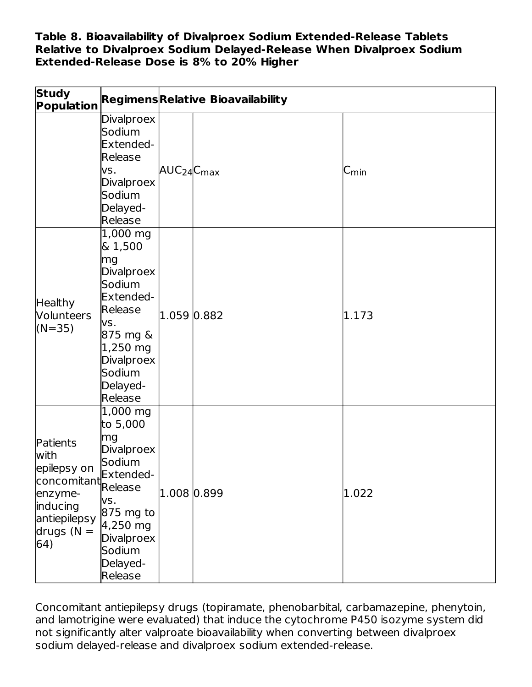**Table 8. Bioavailability of Divalproex Sodium Extended-Release Tablets Relative to Divalproex Sodium Delayed-Release When Divalproex Sodium Extended-Release Dose is 8% to 20% Higher**

| <b>Study</b><br>Population                                                                                                                    |                                                                                                                                                                |                    | RegimensRelative Bioavailability |                     |
|-----------------------------------------------------------------------------------------------------------------------------------------------|----------------------------------------------------------------------------------------------------------------------------------------------------------------|--------------------|----------------------------------|---------------------|
|                                                                                                                                               | <b>Divalproex</b><br>Sodium<br>Extended-<br>Release<br>VS.<br>Divalproex<br>Sodium<br>Delayed-<br>Release                                                      | $AUC_{24} C_{max}$ |                                  | ${\sf C}_{\sf min}$ |
| <b>Healthy</b><br><b>Volunteers</b><br>$(N=35)$                                                                                               | 1,000 mg<br>& 1,500<br>mg<br>Divalproex<br>Sodium<br>Extended-<br>Release<br>VS.<br>875 mg &<br>1,250 mg<br><b>Divalproex</b><br>Sodium<br>Delayed-<br>Release | 1.059 0.882        |                                  | 1.173               |
| Patients<br>with<br>epilepsy on<br>epliepsy on Extended-<br>concomitant Release<br>enzyme-<br>inducing<br>antiepilepsy<br>drugs $(N =$<br>64) | 1,000 mg<br>to 5,000<br>mg<br>Divalproex<br>Sodium<br>VS.<br>875 mg to<br>4,250 mg<br>Divalproex<br>Sodium<br>Delayed-<br>Release                              | 1.008 0.899        |                                  | 1.022               |

Concomitant antiepilepsy drugs (topiramate, phenobarbital, carbamazepine, phenytoin, and lamotrigine were evaluated) that induce the cytochrome P450 isozyme system did not significantly alter valproate bioavailability when converting between divalproex sodium delayed-release and divalproex sodium extended-release.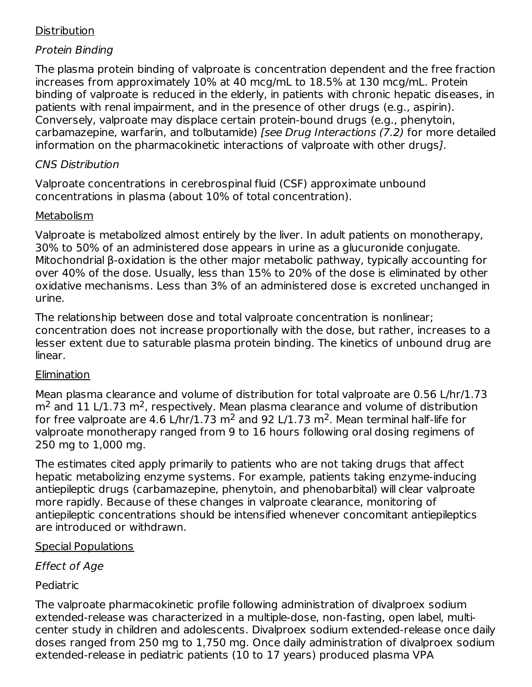### **Distribution**

## Protein Binding

The plasma protein binding of valproate is concentration dependent and the free fraction increases from approximately 10% at 40 mcg/mL to 18.5% at 130 mcg/mL. Protein binding of valproate is reduced in the elderly, in patients with chronic hepatic diseases, in patients with renal impairment, and in the presence of other drugs (e.g., aspirin). Conversely, valproate may displace certain protein-bound drugs (e.g., phenytoin, carbamazepine, warfarin, and tolbutamide) [see Drug Interactions (7.2) for more detailed information on the pharmacokinetic interactions of valproate with other drugs].

## CNS Distribution

Valproate concentrations in cerebrospinal fluid (CSF) approximate unbound concentrations in plasma (about 10% of total concentration).

## Metabolism

Valproate is metabolized almost entirely by the liver. In adult patients on monotherapy, 30% to 50% of an administered dose appears in urine as a glucuronide conjugate. Mitochondrial β-oxidation is the other major metabolic pathway, typically accounting for over 40% of the dose. Usually, less than 15% to 20% of the dose is eliminated by other oxidative mechanisms. Less than 3% of an administered dose is excreted unchanged in urine.

The relationship between dose and total valproate concentration is nonlinear; concentration does not increase proportionally with the dose, but rather, increases to a lesser extent due to saturable plasma protein binding. The kinetics of unbound drug are linear.

## **Elimination**

Mean plasma clearance and volume of distribution for total valproate are 0.56 L/hr/1.73  $m<sup>2</sup>$  and 11 L/1.73 m<sup>2</sup>, respectively. Mean plasma clearance and volume of distribution for free valproate are 4.6 L/hr/1.73 m<sup>2</sup> and 92 L/1.73 m<sup>2</sup>. Mean terminal half-life for valproate monotherapy ranged from 9 to 16 hours following oral dosing regimens of 250 mg to 1,000 mg.

The estimates cited apply primarily to patients who are not taking drugs that affect hepatic metabolizing enzyme systems. For example, patients taking enzyme-inducing antiepileptic drugs (carbamazepine, phenytoin, and phenobarbital) will clear valproate more rapidly. Because of these changes in valproate clearance, monitoring of antiepileptic concentrations should be intensified whenever concomitant antiepileptics are introduced or withdrawn.

## Special Populations

## Effect of Age

# Pediatric

The valproate pharmacokinetic profile following administration of divalproex sodium extended-release was characterized in a multiple-dose, non-fasting, open label, multicenter study in children and adolescents. Divalproex sodium extended-release once daily doses ranged from 250 mg to 1,750 mg. Once daily administration of divalproex sodium extended-release in pediatric patients (10 to 17 years) produced plasma VPA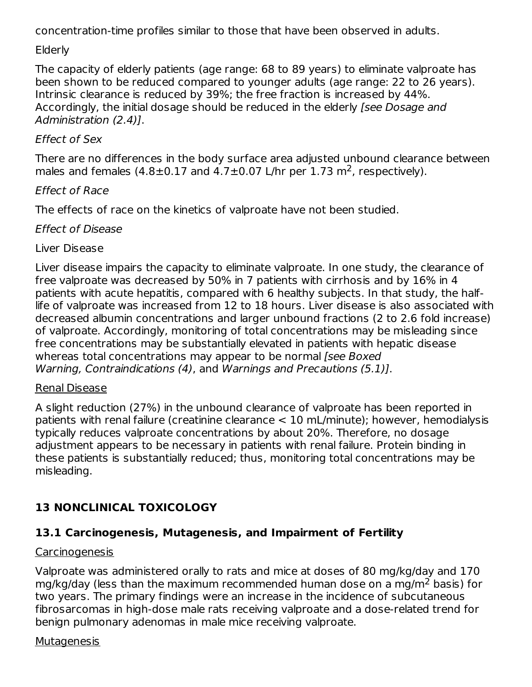concentration-time profiles similar to those that have been observed in adults.

### **Elderly**

The capacity of elderly patients (age range: 68 to 89 years) to eliminate valproate has been shown to be reduced compared to younger adults (age range: 22 to 26 years). Intrinsic clearance is reduced by 39%; the free fraction is increased by 44%. Accordingly, the initial dosage should be reduced in the elderly (see Dosage and Administration (2.4)].

### Effect of Sex

There are no differences in the body surface area adjusted unbound clearance between males and females  $(4.8 \pm 0.17$  and  $4.7 \pm 0.07$  L/hr per 1.73 m<sup>2</sup>, respectively).

## Effect of Race

The effects of race on the kinetics of valproate have not been studied.

### Effect of Disease

## Liver Disease

Liver disease impairs the capacity to eliminate valproate. In one study, the clearance of free valproate was decreased by 50% in 7 patients with cirrhosis and by 16% in 4 patients with acute hepatitis, compared with 6 healthy subjects. In that study, the halflife of valproate was increased from 12 to 18 hours. Liver disease is also associated with decreased albumin concentrations and larger unbound fractions (2 to 2.6 fold increase) of valproate. Accordingly, monitoring of total concentrations may be misleading since free concentrations may be substantially elevated in patients with hepatic disease whereas total concentrations may appear to be normal [see Boxed] Warning, Contraindications (4), and Warnings and Precautions (5.1)].

### Renal Disease

A slight reduction (27%) in the unbound clearance of valproate has been reported in patients with renal failure (creatinine clearance < 10 mL/minute); however, hemodialysis typically reduces valproate concentrations by about 20%. Therefore, no dosage adjustment appears to be necessary in patients with renal failure. Protein binding in these patients is substantially reduced; thus, monitoring total concentrations may be misleading.

# **13 NONCLINICAL TOXICOLOGY**

# **13.1 Carcinogenesis, Mutagenesis, and Impairment of Fertility**

## Carcinogenesis

Valproate was administered orally to rats and mice at doses of 80 mg/kg/day and 170 mg/kg/day (less than the maximum recommended human dose on a mg/m<sup>2</sup> basis) for two years. The primary findings were an increase in the incidence of subcutaneous fibrosarcomas in high-dose male rats receiving valproate and a dose-related trend for benign pulmonary adenomas in male mice receiving valproate.

## **Mutagenesis**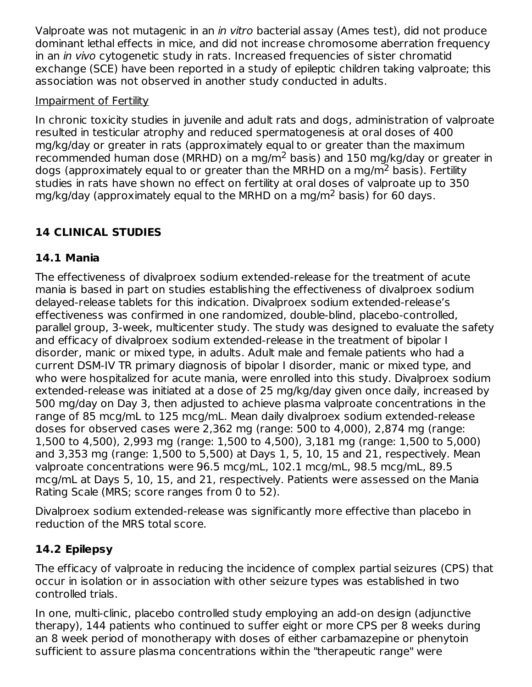Valproate was not mutagenic in an in vitro bacterial assay (Ames test), did not produce dominant lethal effects in mice, and did not increase chromosome aberration frequency in an in vivo cytogenetic study in rats. Increased frequencies of sister chromatid exchange (SCE) have been reported in a study of epileptic children taking valproate; this association was not observed in another study conducted in adults.

### Impairment of Fertility

In chronic toxicity studies in juvenile and adult rats and dogs, administration of valproate resulted in testicular atrophy and reduced spermatogenesis at oral doses of 400 mg/kg/day or greater in rats (approximately equal to or greater than the maximum recommended human dose (MRHD) on a mg/m<sup>2</sup> basis) and 150 mg/kg/day or greater in dogs (approximately equal to or greater than the MRHD on a mg/m<sup>2</sup> basis). Fertility studies in rats have shown no effect on fertility at oral doses of valproate up to 350 mg/kg/day (approximately equal to the MRHD on a mg/m<sup>2</sup> basis) for 60 days.

# **14 CLINICAL STUDIES**

## **14.1 Mania**

The effectiveness of divalproex sodium extended-release for the treatment of acute mania is based in part on studies establishing the effectiveness of divalproex sodium delayed-release tablets for this indication. Divalproex sodium extended-release's effectiveness was confirmed in one randomized, double-blind, placebo-controlled, parallel group, 3-week, multicenter study. The study was designed to evaluate the safety and efficacy of divalproex sodium extended-release in the treatment of bipolar I disorder, manic or mixed type, in adults. Adult male and female patients who had a current DSM-IV TR primary diagnosis of bipolar I disorder, manic or mixed type, and who were hospitalized for acute mania, were enrolled into this study. Divalproex sodium extended-release was initiated at a dose of 25 mg/kg/day given once daily, increased by 500 mg/day on Day 3, then adjusted to achieve plasma valproate concentrations in the range of 85 mcg/mL to 125 mcg/mL. Mean daily divalproex sodium extended-release doses for observed cases were 2,362 mg (range: 500 to 4,000), 2,874 mg (range: 1,500 to 4,500), 2,993 mg (range: 1,500 to 4,500), 3,181 mg (range: 1,500 to 5,000) and 3,353 mg (range: 1,500 to 5,500) at Days 1, 5, 10, 15 and 21, respectively. Mean valproate concentrations were 96.5 mcg/mL, 102.1 mcg/mL, 98.5 mcg/mL, 89.5 mcg/mL at Days 5, 10, 15, and 21, respectively. Patients were assessed on the Mania Rating Scale (MRS; score ranges from 0 to 52).

Divalproex sodium extended-release was significantly more effective than placebo in reduction of the MRS total score.

## **14.2 Epilepsy**

The efficacy of valproate in reducing the incidence of complex partial seizures (CPS) that occur in isolation or in association with other seizure types was established in two controlled trials.

In one, multi-clinic, placebo controlled study employing an add-on design (adjunctive therapy), 144 patients who continued to suffer eight or more CPS per 8 weeks during an 8 week period of monotherapy with doses of either carbamazepine or phenytoin sufficient to assure plasma concentrations within the "therapeutic range" were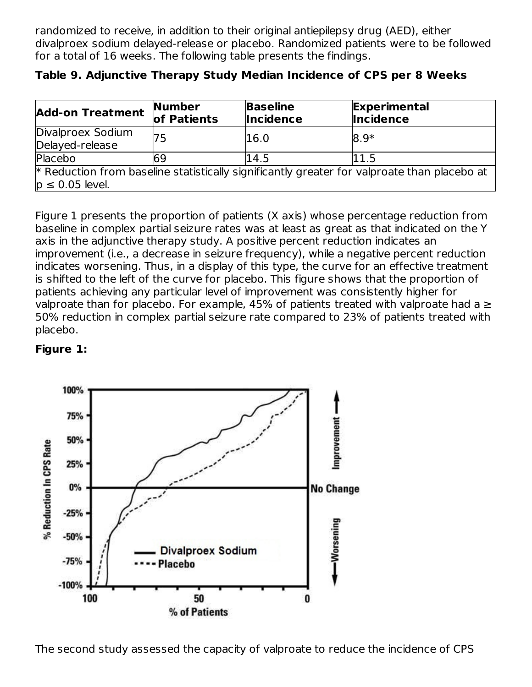randomized to receive, in addition to their original antiepilepsy drug (AED), either divalproex sodium delayed-release or placebo. Randomized patients were to be followed for a total of 16 weeks. The following table presents the findings.

| <b>Add-on Treatment</b>                                                                                              | Number<br>of Patients | <b>Baseline</b><br><b>Incidence</b> | <b>Experimental</b><br><b>Incidence</b> |  |
|----------------------------------------------------------------------------------------------------------------------|-----------------------|-------------------------------------|-----------------------------------------|--|
| Divalproex Sodium<br>Delayed-release                                                                                 | 75                    | 16.0                                | $8.9*$                                  |  |
| Placebo                                                                                                              | 69                    | 14.5                                | 11.5                                    |  |
| $*$ Reduction from baseline statistically significantly greater for valproate than placebo at<br>$p \le 0.05$ level. |                       |                                     |                                         |  |

**Table 9. Adjunctive Therapy Study Median Incidence of CPS per 8 Weeks**

Figure 1 presents the proportion of patients (X axis) whose percentage reduction from baseline in complex partial seizure rates was at least as great as that indicated on the Y axis in the adjunctive therapy study. A positive percent reduction indicates an improvement (i.e., a decrease in seizure frequency), while a negative percent reduction indicates worsening. Thus, in a display of this type, the curve for an effective treatment is shifted to the left of the curve for placebo. This figure shows that the proportion of patients achieving any particular level of improvement was consistently higher for valproate than for placebo. For example, 45% of patients treated with valproate had a  $\geq$ 50% reduction in complex partial seizure rate compared to 23% of patients treated with placebo.

### **Figure 1:**



The second study assessed the capacity of valproate to reduce the incidence of CPS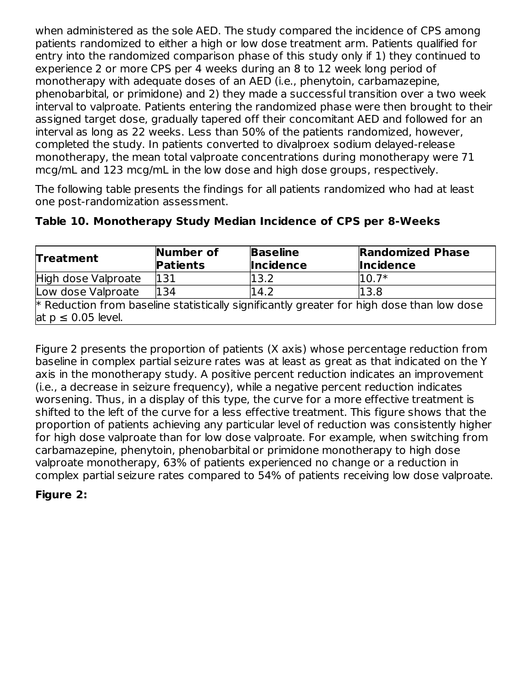when administered as the sole AED. The study compared the incidence of CPS among patients randomized to either a high or low dose treatment arm. Patients qualified for entry into the randomized comparison phase of this study only if 1) they continued to experience 2 or more CPS per 4 weeks during an 8 to 12 week long period of monotherapy with adequate doses of an AED (i.e., phenytoin, carbamazepine, phenobarbital, or primidone) and 2) they made a successful transition over a two week interval to valproate. Patients entering the randomized phase were then brought to their assigned target dose, gradually tapered off their concomitant AED and followed for an interval as long as 22 weeks. Less than 50% of the patients randomized, however, completed the study. In patients converted to divalproex sodium delayed-release monotherapy, the mean total valproate concentrations during monotherapy were 71 mcg/mL and 123 mcg/mL in the low dose and high dose groups, respectively.

The following table presents the findings for all patients randomized who had at least one post-randomization assessment.

| <b>Treatment</b>                                                                                                       | Number of<br><b>Patients</b> | <b>Baseline</b><br><b>Incidence</b> | <b>Randomized Phase</b><br><b>Incidence</b> |  |  |
|------------------------------------------------------------------------------------------------------------------------|------------------------------|-------------------------------------|---------------------------------------------|--|--|
| High dose Valproate                                                                                                    | 131                          | 13.2                                | $10.7*$                                     |  |  |
| Low dose Valproate                                                                                                     | 134                          | 14.2                                | 13.8                                        |  |  |
| $*$ Reduction from baseline statistically significantly greater for high dose than low dose<br>at $p \leq 0.05$ level. |                              |                                     |                                             |  |  |

### **Table 10. Monotherapy Study Median Incidence of CPS per 8-Weeks**

Figure 2 presents the proportion of patients (X axis) whose percentage reduction from baseline in complex partial seizure rates was at least as great as that indicated on the Y axis in the monotherapy study. A positive percent reduction indicates an improvement (i.e., a decrease in seizure frequency), while a negative percent reduction indicates worsening. Thus, in a display of this type, the curve for a more effective treatment is shifted to the left of the curve for a less effective treatment. This figure shows that the proportion of patients achieving any particular level of reduction was consistently higher for high dose valproate than for low dose valproate. For example, when switching from carbamazepine, phenytoin, phenobarbital or primidone monotherapy to high dose valproate monotherapy, 63% of patients experienced no change or a reduction in complex partial seizure rates compared to 54% of patients receiving low dose valproate.

## **Figure 2:**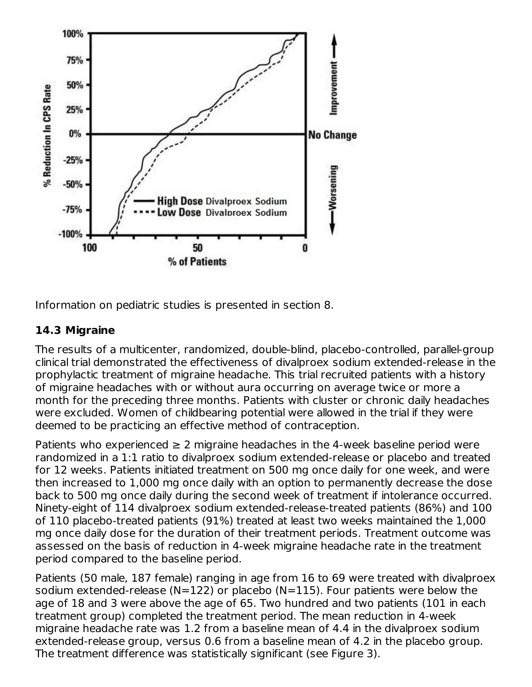

Information on pediatric studies is presented in section 8.

### **14.3 Migraine**

The results of a multicenter, randomized, double-blind, placebo-controlled, parallel-group clinical trial demonstrated the effectiveness of divalproex sodium extended-release in the prophylactic treatment of migraine headache. This trial recruited patients with a history of migraine headaches with or without aura occurring on average twice or more a month for the preceding three months. Patients with cluster or chronic daily headaches were excluded. Women of childbearing potential were allowed in the trial if they were deemed to be practicing an effective method of contraception.

Patients who experienced  $\geq 2$  migraine headaches in the 4-week baseline period were randomized in a 1:1 ratio to divalproex sodium extended-release or placebo and treated for 12 weeks. Patients initiated treatment on 500 mg once daily for one week, and were then increased to 1,000 mg once daily with an option to permanently decrease the dose back to 500 mg once daily during the second week of treatment if intolerance occurred. Ninety-eight of 114 divalproex sodium extended-release-treated patients (86%) and 100 of 110 placebo-treated patients (91%) treated at least two weeks maintained the 1,000 mg once daily dose for the duration of their treatment periods. Treatment outcome was assessed on the basis of reduction in 4-week migraine headache rate in the treatment period compared to the baseline period.

Patients (50 male, 187 female) ranging in age from 16 to 69 were treated with divalproex sodium extended-release (N=122) or placebo (N=115). Four patients were below the age of 18 and 3 were above the age of 65. Two hundred and two patients (101 in each treatment group) completed the treatment period. The mean reduction in 4-week migraine headache rate was 1.2 from a baseline mean of 4.4 in the divalproex sodium extended-release group, versus 0.6 from a baseline mean of 4.2 in the placebo group. The treatment difference was statistically significant (see Figure 3).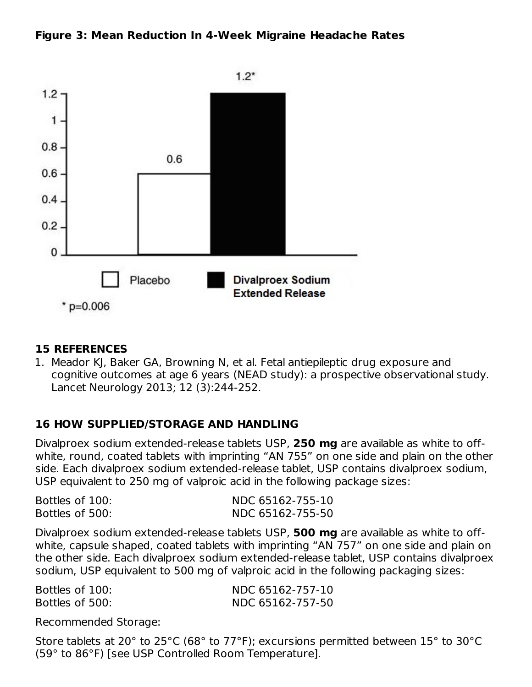#### **Figure 3: Mean Reduction In 4-Week Migraine Headache Rates**



#### **15 REFERENCES**

1. Meador KJ, Baker GA, Browning N, et al. Fetal antiepileptic drug exposure and cognitive outcomes at age 6 years (NEAD study): a prospective observational study. Lancet Neurology 2013; 12 (3):244-252.

### **16 HOW SUPPLIED/STORAGE AND HANDLING**

Divalproex sodium extended-release tablets USP, **250 mg** are available as white to offwhite, round, coated tablets with imprinting "AN 755" on one side and plain on the other side. Each divalproex sodium extended-release tablet, USP contains divalproex sodium, USP equivalent to 250 mg of valproic acid in the following package sizes:

| Bottles of 100: | NDC 65162-755-10 |
|-----------------|------------------|
| Bottles of 500: | NDC 65162-755-50 |

Divalproex sodium extended-release tablets USP, **500 mg** are available as white to offwhite, capsule shaped, coated tablets with imprinting "AN 757" on one side and plain on the other side. Each divalproex sodium extended-release tablet, USP contains divalproex sodium, USP equivalent to 500 mg of valproic acid in the following packaging sizes:

Bottles of 100: NDC 65162-757-10 Bottles of 500: NDC 65162-757-50

Recommended Storage:

Store tablets at 20° to 25°C (68° to 77°F); excursions permitted between 15° to 30°C (59° to 86°F) [see USP Controlled Room Temperature].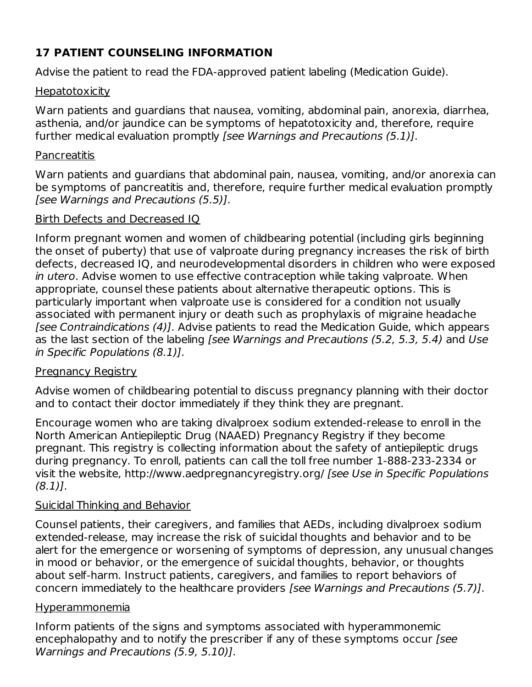## **17 PATIENT COUNSELING INFORMATION**

Advise the patient to read the FDA-approved patient labeling (Medication Guide).

### **Hepatotoxicity**

Warn patients and guardians that nausea, vomiting, abdominal pain, anorexia, diarrhea, asthenia, and/or jaundice can be symptoms of hepatotoxicity and, therefore, require further medical evaluation promptly [see Warnings and Precautions (5.1)].

### **Pancreatitis**

Warn patients and guardians that abdominal pain, nausea, vomiting, and/or anorexia can be symptoms of pancreatitis and, therefore, require further medical evaluation promptly [see Warnings and Precautions (5.5)].

### Birth Defects and Decreased IQ

Inform pregnant women and women of childbearing potential (including girls beginning the onset of puberty) that use of valproate during pregnancy increases the risk of birth defects, decreased IQ, and neurodevelopmental disorders in children who were exposed in utero. Advise women to use effective contraception while taking valproate. When appropriate, counsel these patients about alternative therapeutic options. This is particularly important when valproate use is considered for a condition not usually associated with permanent injury or death such as prophylaxis of migraine headache [see Contraindications (4)]. Advise patients to read the Medication Guide, which appears as the last section of the labeling [see Warnings and Precautions (5.2, 5.3, 5.4) and Use in Specific Populations (8.1)].

### Pregnancy Registry

Advise women of childbearing potential to discuss pregnancy planning with their doctor and to contact their doctor immediately if they think they are pregnant.

Encourage women who are taking divalproex sodium extended-release to enroll in the North American Antiepileptic Drug (NAAED) Pregnancy Registry if they become pregnant. This registry is collecting information about the safety of antiepileptic drugs during pregnancy. To enroll, patients can call the toll free number 1-888-233-2334 or visit the website, http://www.aedpregnancyregistry.org/ [see Use in Specific Populations  $(8.1)$ .

### Suicidal Thinking and Behavior

Counsel patients, their caregivers, and families that AEDs, including divalproex sodium extended-release, may increase the risk of suicidal thoughts and behavior and to be alert for the emergence or worsening of symptoms of depression, any unusual changes in mood or behavior, or the emergence of suicidal thoughts, behavior, or thoughts about self-harm. Instruct patients, caregivers, and families to report behaviors of concern immediately to the healthcare providers [see Warnings and Precautions (5.7)].

### Hyperammonemia

Inform patients of the signs and symptoms associated with hyperammonemic encephalopathy and to notify the prescriber if any of these symptoms occur [see Warnings and Precautions (5.9, 5.10)].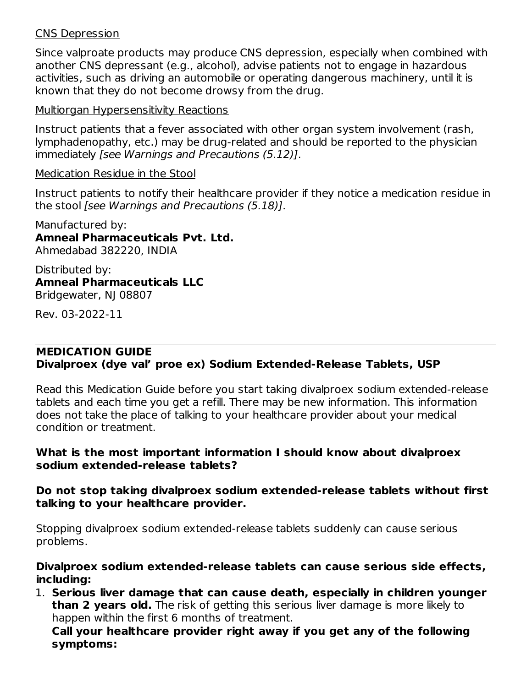#### CNS Depression

Since valproate products may produce CNS depression, especially when combined with another CNS depressant (e.g., alcohol), advise patients not to engage in hazardous activities, such as driving an automobile or operating dangerous machinery, until it is known that they do not become drowsy from the drug.

#### Multiorgan Hypersensitivity Reactions

Instruct patients that a fever associated with other organ system involvement (rash, lymphadenopathy, etc.) may be drug-related and should be reported to the physician immediately [see Warnings and Precautions (5.12)].

#### Medication Residue in the Stool

Instruct patients to notify their healthcare provider if they notice a medication residue in the stool *[see Warnings and Precautions (5.18)]*.

Manufactured by: **Amneal Pharmaceuticals Pvt. Ltd.** Ahmedabad 382220, INDIA

Distributed by: **Amneal Pharmaceuticals LLC** Bridgewater, NJ 08807

Rev. 03-2022-11

### **MEDICATION GUIDE Divalproex (dye val' proe ex) Sodium Extended-Release Tablets, USP**

Read this Medication Guide before you start taking divalproex sodium extended-release tablets and each time you get a refill. There may be new information. This information does not take the place of talking to your healthcare provider about your medical condition or treatment.

#### **What is the most important information I should know about divalproex sodium extended-release tablets?**

### **Do not stop taking divalproex sodium extended-release tablets without first talking to your healthcare provider.**

Stopping divalproex sodium extended-release tablets suddenly can cause serious problems.

#### **Divalproex sodium extended-release tablets can cause serious side effects, including:**

1. **Serious liver damage that can cause death, especially in children younger than 2 years old.** The risk of getting this serious liver damage is more likely to happen within the first 6 months of treatment.

**Call your healthcare provider right away if you get any of the following symptoms:**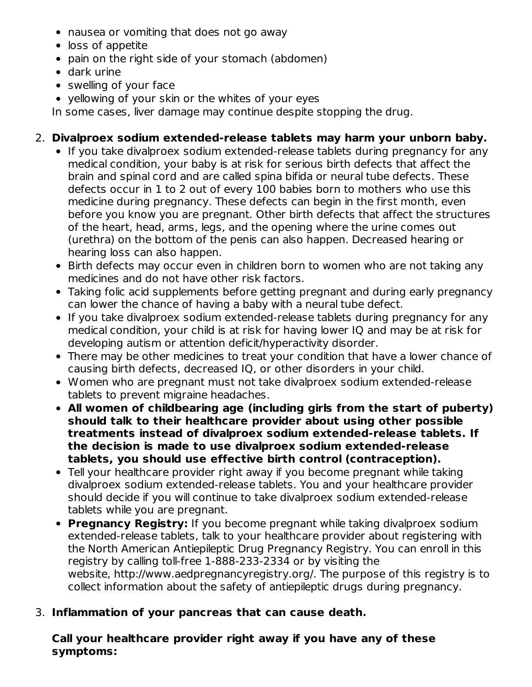- nausea or vomiting that does not go away
- loss of appetite
- pain on the right side of your stomach (abdomen)
- dark urine
- swelling of your face
- yellowing of your skin or the whites of your eyes

In some cases, liver damage may continue despite stopping the drug.

## 2. **Divalproex sodium extended-release tablets may harm your unborn baby.**

- If you take divalproex sodium extended-release tablets during pregnancy for any medical condition, your baby is at risk for serious birth defects that affect the brain and spinal cord and are called spina bifida or neural tube defects. These defects occur in 1 to 2 out of every 100 babies born to mothers who use this medicine during pregnancy. These defects can begin in the first month, even before you know you are pregnant. Other birth defects that affect the structures of the heart, head, arms, legs, and the opening where the urine comes out (urethra) on the bottom of the penis can also happen. Decreased hearing or hearing loss can also happen.
- Birth defects may occur even in children born to women who are not taking any medicines and do not have other risk factors.
- Taking folic acid supplements before getting pregnant and during early pregnancy can lower the chance of having a baby with a neural tube defect.
- If you take divalproex sodium extended-release tablets during pregnancy for any medical condition, your child is at risk for having lower IQ and may be at risk for developing autism or attention deficit/hyperactivity disorder.
- There may be other medicines to treat your condition that have a lower chance of causing birth defects, decreased IQ, or other disorders in your child.
- Women who are pregnant must not take divalproex sodium extended-release tablets to prevent migraine headaches.
- **All women of childbearing age (including girls from the start of puberty) should talk to their healthcare provider about using other possible treatments instead of divalproex sodium extended-release tablets. If the decision is made to use divalproex sodium extended-release tablets, you should use effective birth control (contraception).**
- Tell your healthcare provider right away if you become pregnant while taking divalproex sodium extended-release tablets. You and your healthcare provider should decide if you will continue to take divalproex sodium extended-release tablets while you are pregnant.
- **Pregnancy Registry:** If you become pregnant while taking divalproex sodium extended-release tablets, talk to your healthcare provider about registering with the North American Antiepileptic Drug Pregnancy Registry. You can enroll in this registry by calling toll-free 1-888-233-2334 or by visiting the website, http://www.aedpregnancyregistry.org/. The purpose of this registry is to collect information about the safety of antiepileptic drugs during pregnancy.

# 3. **Inflammation of your pancreas that can cause death.**

### **Call your healthcare provider right away if you have any of these symptoms:**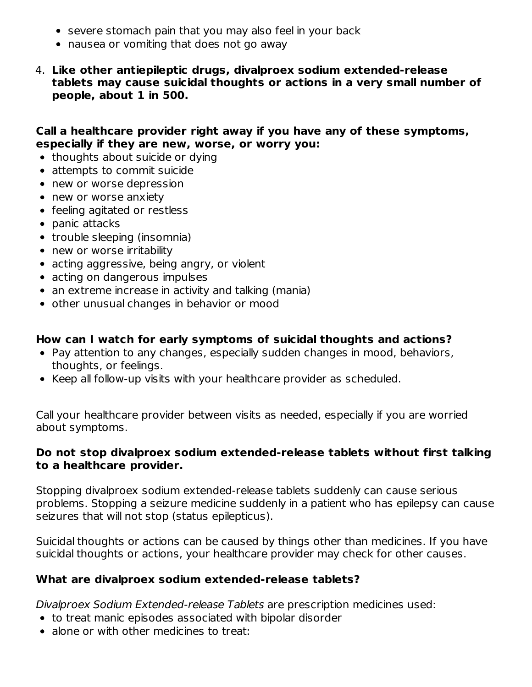- severe stomach pain that you may also feel in your back
- nausea or vomiting that does not go away
- 4. **Like other antiepileptic drugs, divalproex sodium extended-release tablets may cause suicidal thoughts or actions in a very small number of people, about 1 in 500.**

### **Call a healthcare provider right away if you have any of these symptoms, especially if they are new, worse, or worry you:**

- thoughts about suicide or dying
- attempts to commit suicide
- new or worse depression
- new or worse anxiety
- feeling agitated or restless
- panic attacks
- trouble sleeping (insomnia)
- new or worse irritability
- acting aggressive, being angry, or violent
- acting on dangerous impulses
- an extreme increase in activity and talking (mania)
- other unusual changes in behavior or mood

## **How can I watch for early symptoms of suicidal thoughts and actions?**

- Pay attention to any changes, especially sudden changes in mood, behaviors, thoughts, or feelings.
- Keep all follow-up visits with your healthcare provider as scheduled.

Call your healthcare provider between visits as needed, especially if you are worried about symptoms.

#### **Do not stop divalproex sodium extended-release tablets without first talking to a healthcare provider.**

Stopping divalproex sodium extended-release tablets suddenly can cause serious problems. Stopping a seizure medicine suddenly in a patient who has epilepsy can cause seizures that will not stop (status epilepticus).

Suicidal thoughts or actions can be caused by things other than medicines. If you have suicidal thoughts or actions, your healthcare provider may check for other causes.

## **What are divalproex sodium extended-release tablets?**

Divalproex Sodium Extended-release Tablets are prescription medicines used:

- to treat manic episodes associated with bipolar disorder
- alone or with other medicines to treat: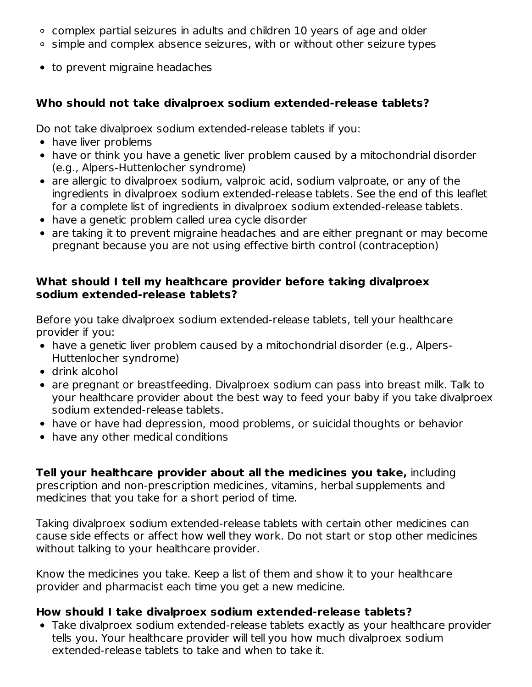- complex partial seizures in adults and children 10 years of age and older
- simple and complex absence seizures, with or without other seizure types
- to prevent migraine headaches

## **Who should not take divalproex sodium extended-release tablets?**

Do not take divalproex sodium extended-release tablets if you:

- have liver problems
- have or think you have a genetic liver problem caused by a mitochondrial disorder (e.g., Alpers-Huttenlocher syndrome)
- are allergic to divalproex sodium, valproic acid, sodium valproate, or any of the ingredients in divalproex sodium extended-release tablets. See the end of this leaflet for a complete list of ingredients in divalproex sodium extended-release tablets.
- have a genetic problem called urea cycle disorder
- are taking it to prevent migraine headaches and are either pregnant or may become pregnant because you are not using effective birth control (contraception)

#### **What should I tell my healthcare provider before taking divalproex sodium extended-release tablets?**

Before you take divalproex sodium extended-release tablets, tell your healthcare provider if you:

- have a genetic liver problem caused by a mitochondrial disorder (e.g., Alpers-Huttenlocher syndrome)
- drink alcohol
- are pregnant or breastfeeding. Divalproex sodium can pass into breast milk. Talk to your healthcare provider about the best way to feed your baby if you take divalproex sodium extended-release tablets.
- have or have had depression, mood problems, or suicidal thoughts or behavior
- have any other medical conditions

**Tell your healthcare provider about all the medicines you take,** including prescription and non-prescription medicines, vitamins, herbal supplements and medicines that you take for a short period of time.

Taking divalproex sodium extended-release tablets with certain other medicines can cause side effects or affect how well they work. Do not start or stop other medicines without talking to your healthcare provider.

Know the medicines you take. Keep a list of them and show it to your healthcare provider and pharmacist each time you get a new medicine.

## **How should I take divalproex sodium extended-release tablets?**

Take divalproex sodium extended-release tablets exactly as your healthcare provider tells you. Your healthcare provider will tell you how much divalproex sodium extended-release tablets to take and when to take it.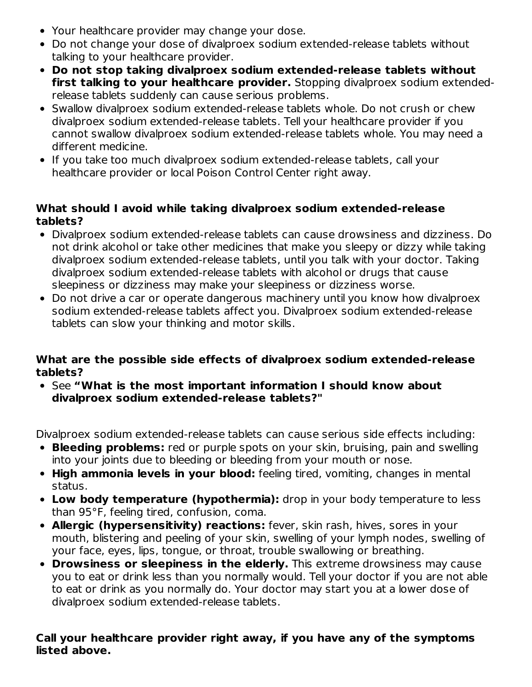- Your healthcare provider may change your dose.
- Do not change your dose of divalproex sodium extended-release tablets without talking to your healthcare provider.
- **Do not stop taking divalproex sodium extended-release tablets without first talking to your healthcare provider.** Stopping divalproex sodium extendedrelease tablets suddenly can cause serious problems.
- Swallow divalproex sodium extended-release tablets whole. Do not crush or chew divalproex sodium extended-release tablets. Tell your healthcare provider if you cannot swallow divalproex sodium extended-release tablets whole. You may need a different medicine.
- If you take too much divalproex sodium extended-release tablets, call your healthcare provider or local Poison Control Center right away.

### **What should I avoid while taking divalproex sodium extended-release tablets?**

- Divalproex sodium extended-release tablets can cause drowsiness and dizziness. Do not drink alcohol or take other medicines that make you sleepy or dizzy while taking divalproex sodium extended-release tablets, until you talk with your doctor. Taking divalproex sodium extended-release tablets with alcohol or drugs that cause sleepiness or dizziness may make your sleepiness or dizziness worse.
- Do not drive a car or operate dangerous machinery until you know how divalproex sodium extended-release tablets affect you. Divalproex sodium extended-release tablets can slow your thinking and motor skills.

### **What are the possible side effects of divalproex sodium extended-release tablets?**

See **"What is the most important information I should know about divalproex sodium extended-release tablets?"**

Divalproex sodium extended-release tablets can cause serious side effects including:

- **Bleeding problems:** red or purple spots on your skin, bruising, pain and swelling into your joints due to bleeding or bleeding from your mouth or nose.
- **High ammonia levels in your blood:** feeling tired, vomiting, changes in mental status.
- **Low body temperature (hypothermia):** drop in your body temperature to less than 95°F, feeling tired, confusion, coma.
- **Allergic (hypersensitivity) reactions:** fever, skin rash, hives, sores in your mouth, blistering and peeling of your skin, swelling of your lymph nodes, swelling of your face, eyes, lips, tongue, or throat, trouble swallowing or breathing.
- **Drowsiness or sleepiness in the elderly.** This extreme drowsiness may cause you to eat or drink less than you normally would. Tell your doctor if you are not able to eat or drink as you normally do. Your doctor may start you at a lower dose of divalproex sodium extended-release tablets.

### **Call your healthcare provider right away, if you have any of the symptoms listed above.**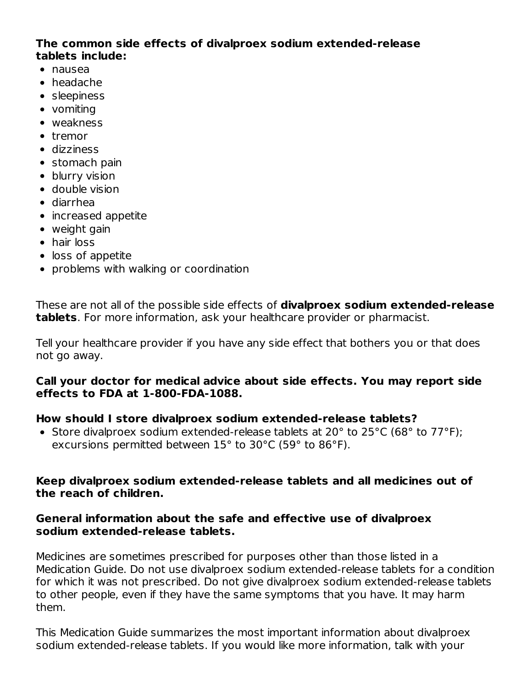#### **The common side effects of divalproex sodium extended-release tablets include:**

- nausea
- headache
- sleepiness
- vomiting
- weakness
- tremor
- dizziness
- stomach pain
- blurry vision
- double vision
- diarrhea
- increased appetite
- weight gain
- hair loss
- loss of appetite
- problems with walking or coordination

These are not all of the possible side effects of **divalproex sodium extended-release tablets**. For more information, ask your healthcare provider or pharmacist.

Tell your healthcare provider if you have any side effect that bothers you or that does not go away.

#### **Call your doctor for medical advice about side effects. You may report side effects to FDA at 1-800-FDA-1088.**

### **How should I store divalproex sodium extended-release tablets?**

• Store divalproex sodium extended-release tablets at 20° to 25°C (68° to 77°F); excursions permitted between 15° to 30°C (59° to 86°F).

#### **Keep divalproex sodium extended-release tablets and all medicines out of the reach of children.**

#### **General information about the safe and effective use of divalproex sodium extended-release tablets.**

Medicines are sometimes prescribed for purposes other than those listed in a Medication Guide. Do not use divalproex sodium extended-release tablets for a condition for which it was not prescribed. Do not give divalproex sodium extended-release tablets to other people, even if they have the same symptoms that you have. It may harm them.

This Medication Guide summarizes the most important information about divalproex sodium extended-release tablets. If you would like more information, talk with your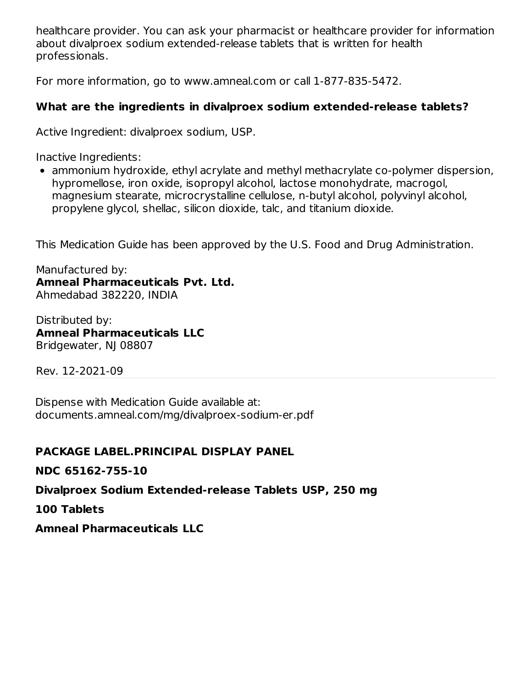healthcare provider. You can ask your pharmacist or healthcare provider for information about divalproex sodium extended-release tablets that is written for health professionals.

For more information, go to www.amneal.com or call 1-877-835-5472.

## **What are the ingredients in divalproex sodium extended-release tablets?**

Active Ingredient: divalproex sodium, USP.

Inactive Ingredients:

ammonium hydroxide, ethyl acrylate and methyl methacrylate co-polymer dispersion, hypromellose, iron oxide, isopropyl alcohol, lactose monohydrate, macrogol, magnesium stearate, microcrystalline cellulose, n-butyl alcohol, polyvinyl alcohol, propylene glycol, shellac, silicon dioxide, talc, and titanium dioxide.

This Medication Guide has been approved by the U.S. Food and Drug Administration.

Manufactured by: **Amneal Pharmaceuticals Pvt. Ltd.** Ahmedabad 382220, INDIA

Distributed by: **Amneal Pharmaceuticals LLC** Bridgewater, NJ 08807

Rev. 12-2021-09

Dispense with Medication Guide available at: documents.amneal.com/mg/divalproex-sodium-er.pdf

## **PACKAGE LABEL.PRINCIPAL DISPLAY PANEL**

**NDC 65162-755-10**

**Divalproex Sodium Extended-release Tablets USP, 250 mg**

**100 Tablets**

**Amneal Pharmaceuticals LLC**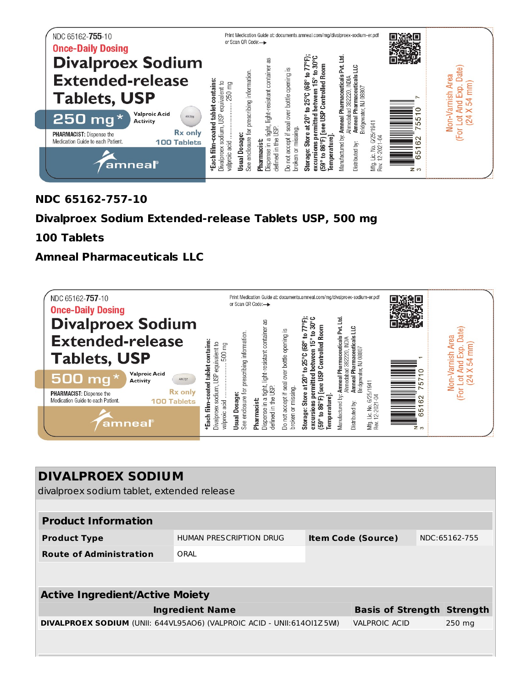

## **NDC 65162-757-10**

## **Divalproex Sodium Extended-release Tablets USP, 500 mg**

### **100 Tablets**

## **Amneal Pharmaceuticals LLC**



| <b>DIVALPROEX SODIUM</b><br>divalproex sodium tablet, extended release       |                         |  |                           |  |               |  |  |
|------------------------------------------------------------------------------|-------------------------|--|---------------------------|--|---------------|--|--|
|                                                                              |                         |  |                           |  |               |  |  |
| <b>Product Information</b>                                                   |                         |  |                           |  |               |  |  |
| <b>Product Type</b>                                                          | HUMAN PRESCRIPTION DRUG |  | <b>Item Code (Source)</b> |  | NDC:65162-755 |  |  |
| <b>Route of Administration</b>                                               | ORAL                    |  |                           |  |               |  |  |
|                                                                              |                         |  |                           |  |               |  |  |
|                                                                              |                         |  |                           |  |               |  |  |
| <b>Active Ingredient/Active Moiety</b>                                       |                         |  |                           |  |               |  |  |
| <b>Basis of Strength Strength</b><br><b>Ingredient Name</b>                  |                         |  |                           |  |               |  |  |
| <b>DIVALPROEX SODIUM (UNII: 644VL95AO6) (VALPROIC ACID - UNII:614OI1Z5M)</b> |                         |  | <b>VALPROIC ACID</b>      |  | $250$ mg      |  |  |
|                                                                              |                         |  |                           |  |               |  |  |
|                                                                              |                         |  |                           |  |               |  |  |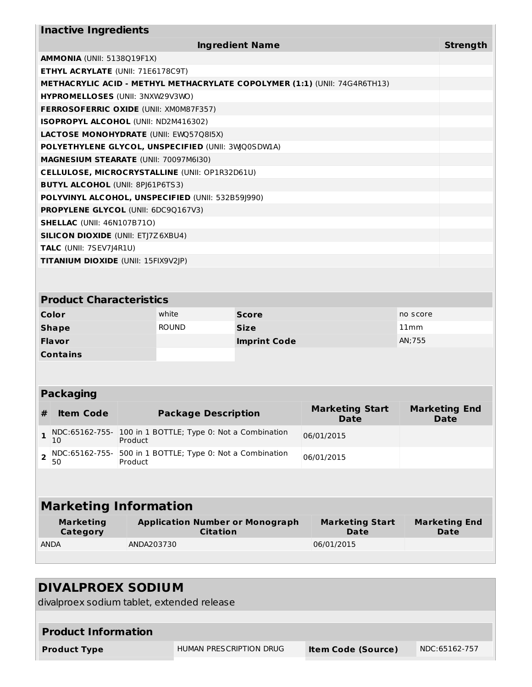| <b>Inactive Ingredients</b>                                                      |                 |
|----------------------------------------------------------------------------------|-----------------|
| <b>Ingredient Name</b>                                                           | <b>Strength</b> |
| <b>AMMONIA</b> (UNII: 5138Q19F1X)                                                |                 |
| <b>ETHYL ACRYLATE (UNII: 71E6178C9T)</b>                                         |                 |
| <b>METHACRYLIC ACID - METHYL METHACRYLATE COPOLYMER (1:1) (UNII: 74G4R6TH13)</b> |                 |
| HYPROMELLOSES (UNII: 3NXW29V3WO)                                                 |                 |
| FERROSOFERRIC OXIDE (UNII: XM0M87F357)                                           |                 |
| ISOPROPYL ALCOHOL (UNII: ND2M416302)                                             |                 |
| <b>LACTOSE MONOHYDRATE (UNII: EWQ57Q8I5X)</b>                                    |                 |
| <b>POLYETHYLENE GLYCOL, UNSPECIFIED (UNII: 3WQ0SDWIA)</b>                        |                 |
| <b>MAGNESIUM STEARATE (UNII: 70097M6I30)</b>                                     |                 |
| <b>CELLULOSE, MICROCRYSTALLINE (UNII: OP1R32D61U)</b>                            |                 |
| <b>BUTYL ALCOHOL (UNII: 8PJ61P6TS3)</b>                                          |                 |
| POLYVINYL ALCOHOL, UNSPECIFIED (UNII: 532B59J990)                                |                 |
| PROPYLENE GLYCOL (UNII: 6DC9Q167V3)                                              |                 |
| <b>SHELLAC</b> (UNII: 46N107B71O)                                                |                 |
| <b>SILICON DIOXIDE (UNII: ETJ7Z6XBU4)</b>                                        |                 |
| <b>TALC</b> (UNII: 7SEV7J4R1U)                                                   |                 |
| <b>TITANIUM DIOXIDE (UNII: 15FIX9V2JP)</b>                                       |                 |

| <b>Product Characteristics</b> |              |                     |          |  |  |
|--------------------------------|--------------|---------------------|----------|--|--|
| Color                          | white        | <b>Score</b>        | no score |  |  |
| <b>Shape</b>                   | <b>ROUND</b> | <b>Size</b>         | 11mm     |  |  |
| <b>Flavor</b>                  |              | <b>Imprint Code</b> | AN:755   |  |  |
| <b>Contains</b>                |              |                     |          |  |  |

# **Packaging**

L

| 1 NDC:65162-755- 100 in 1 BOTTLE; Type 0: Not a Combination<br>06/01/2015<br>Product<br>$\vert$ 10 | <b>Marketing Start</b><br><b>Package Description</b><br><b>Date</b> | <b>Marketing End</b><br><b>Date</b> |
|----------------------------------------------------------------------------------------------------|---------------------------------------------------------------------|-------------------------------------|
|                                                                                                    |                                                                     |                                     |
| 2 NDC:65162-755- 500 in 1 BOTTLE; Type 0: Not a Combination<br>06/01/2015<br>Product<br>50         |                                                                     |                                     |

# **Marketing Information**

| Marketing   | <b>Application Number or Monograph</b> | <b>Marketing Start</b> | <b>Marketing End</b> |
|-------------|----------------------------------------|------------------------|----------------------|
| Category    | <b>Citation</b>                        | Date                   | Date                 |
| <b>ANDA</b> | ANDA203730                             | 06/01/2015             |                      |

| <b>DIVALPROEX SODIUM</b><br>divalproex sodium tablet, extended release |                         |                           |               |  |  |
|------------------------------------------------------------------------|-------------------------|---------------------------|---------------|--|--|
| <b>Product Information</b>                                             |                         |                           |               |  |  |
| <b>Product Type</b>                                                    | HUMAN PRESCRIPTION DRUG | <b>Item Code (Source)</b> | NDC:65162-757 |  |  |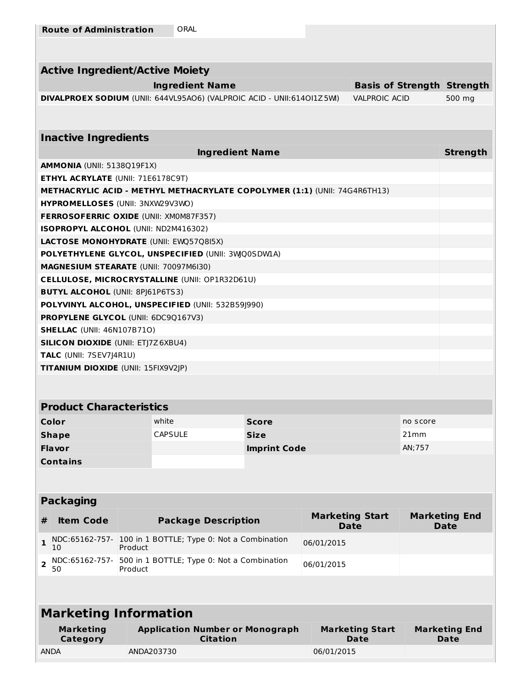| <b>Route of Administration</b> | ORAL |
|--------------------------------|------|
|--------------------------------|------|

| <b>Active Ingredient/Active Moiety</b>                                    |                                   |                 |
|---------------------------------------------------------------------------|-----------------------------------|-----------------|
| <b>Ingredient Name</b>                                                    | <b>Basis of Strength Strength</b> |                 |
| DIVALPROEX SODIUM (UNII: 644VL95AO6) (VALPROIC ACID - UNII:6140I1Z5W)     | <b>VALPROIC ACID</b>              | 500 mg          |
|                                                                           |                                   |                 |
| <b>Inactive Ingredients</b>                                               |                                   |                 |
| <b>Ingredient Name</b>                                                    |                                   | <b>Strength</b> |
| <b>AMMONIA (UNII: 5138019F1X)</b>                                         |                                   |                 |
| <b>ETHYL ACRYLATE (UNII: 71E6178C9T)</b>                                  |                                   |                 |
| METHACRYLIC ACID - METHYL METHACRYLATE COPOLYMER (1:1) (UNII: 74G4R6TH13) |                                   |                 |
| HYPROMELLOSES (UNII: 3NXW29V3WO)                                          |                                   |                 |
| <b>FERROSOFERRIC OXIDE (UNII: XMOM87F357)</b>                             |                                   |                 |
| <b>ISOPROPYL ALCOHOL (UNII: ND2M416302)</b>                               |                                   |                 |
| <b>LACTOSE MONOHYDRATE (UNII: EWQ57Q8I5X)</b>                             |                                   |                 |
| POLYETHYLENE GLYCOL, UNSPECIFIED (UNII: 3WO0SDW1A)                        |                                   |                 |
| <b>MAGNESIUM STEARATE (UNII: 70097M6I30)</b>                              |                                   |                 |
| <b>CELLULOSE, MICROCRYSTALLINE (UNII: OP1R32D61U)</b>                     |                                   |                 |
| <b>BUTYL ALCOHOL (UNII: 8PJ61P6TS3)</b>                                   |                                   |                 |
| POLYVINYL ALCOHOL, UNSPECIFIED (UNII: 532B59J990)                         |                                   |                 |
| <b>PROPYLENE GLYCOL (UNII: 6DC9Q167V3)</b>                                |                                   |                 |
| <b>SHELLAC (UNII: 46N107B710)</b>                                         |                                   |                 |
| <b>SILICON DIOXIDE (UNII: ETJ7Z6XBU4)</b>                                 |                                   |                 |
| TALC (UNII: 7SEV7J4R1U)                                                   |                                   |                 |
| <b>TITANIUM DIOXIDE (UNII: 15FIX9V2IP)</b>                                |                                   |                 |

## **Product Characteristics**

| Color           | white          | <b>Score</b>        | no score |
|-----------------|----------------|---------------------|----------|
| <b>Shape</b>    | <b>CAPSULE</b> | <b>Size</b>         | 21mm     |
| <b>Flavor</b>   |                | <b>Imprint Code</b> | AN; 757  |
| <b>Contains</b> |                |                     |          |

## **Packaging**

| <b>Item Code</b> | <b>Package Description</b>                                             | <b>Marketing Start</b><br>Date | <b>Marketing End</b><br><b>Date</b> |
|------------------|------------------------------------------------------------------------|--------------------------------|-------------------------------------|
| 10               | 1 NDC:65162-757- 100 in 1 BOTTLE; Type 0: Not a Combination<br>Product | 06/01/2015                     |                                     |
| 50               | NDC:65162-757- 500 in 1 BOTTLE; Type 0: Not a Combination<br>Product   | 06/01/2015                     |                                     |

| <b>Marketing Information</b> |                                                           |                                |                              |  |  |  |
|------------------------------|-----------------------------------------------------------|--------------------------------|------------------------------|--|--|--|
| <b>Marketing</b><br>Category | <b>Application Number or Monograph</b><br><b>Citation</b> | <b>Marketing Start</b><br>Date | <b>Marketing End</b><br>Date |  |  |  |
| <b>ANDA</b>                  | ANDA203730                                                | 06/01/2015                     |                              |  |  |  |